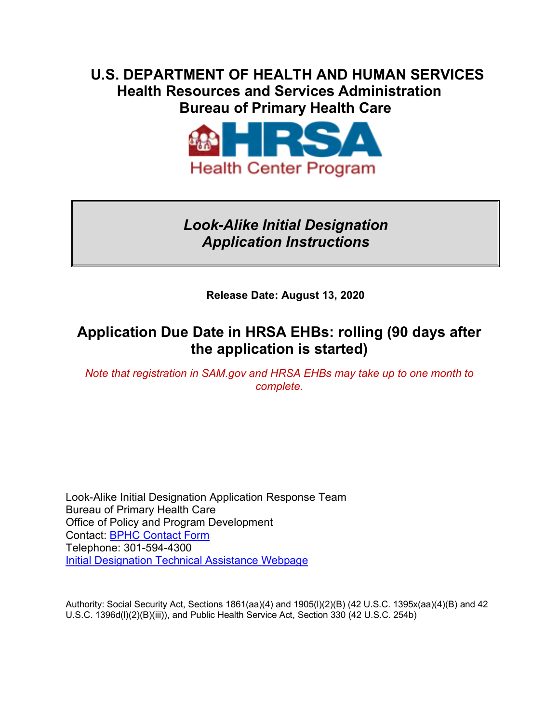## **U.S. DEPARTMENT OF HEALTH AND HUMAN SERVICES Health Resources and Services Administration Bureau of Primary Health Care**



## *Look-Alike Initial Designation Application Instructions*

**Release Date: August 13, 2020** 

## **Application Due Date in HRSA EHBs: rolling (90 days after the application is started)**

*Note that registration in SAM.gov and HRSA EHBs may take up to one month to complete.* 

Look-Alike Initial Designation Application Response Team Bureau of Primary Health Care Office of Policy and Program Development Contact: [BPHC Contact Form](https://bphccommunications.secure.force.com/ContactBPHC/BPHC_Contact_Form)  Telephone: 301-594-4300 **Initial Designation Technical Assistance Webpage** 

Authority: Social Security Act, Sections 1861(aa)(4) and 1905(l)(2)(B) (42 U.S.C. 1395x(aa)(4)(B) and 42 U.S.C. 1396d(l)(2)(B)(iii)), and Public Health Service Act, Section 330 (42 U.S.C. 254b)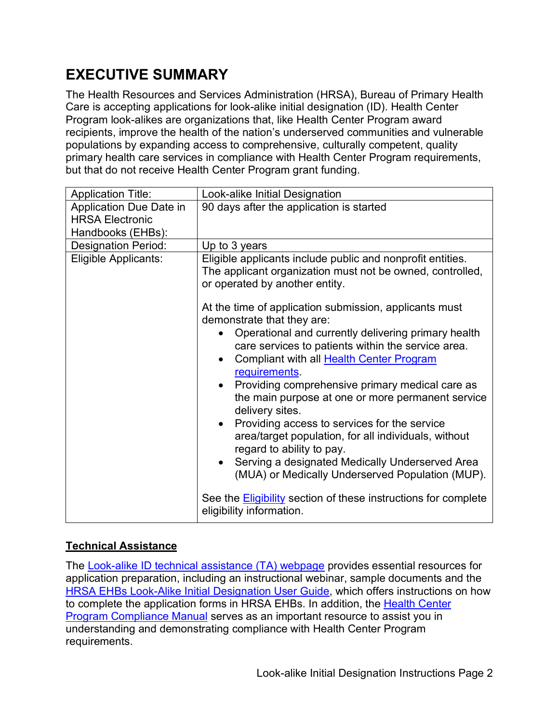# <span id="page-1-0"></span>**EXECUTIVE SUMMARY**

The Health Resources and Services Administration (HRSA), Bureau of Primary Health Care is accepting applications for look-alike initial designation (ID). Health Center Program look-alikes are organizations that, like Health Center Program award recipients, improve the health of the nation's underserved communities and vulnerable populations by expanding access to comprehensive, culturally competent, quality primary health care services in compliance with Health Center Program requirements, but that do not receive Health Center Program grant funding.

| <b>Application Title:</b>  | Look-alike Initial Designation                                                                                                                                                                                                                                                                                                                                                                                                                                                                                                                                                           |  |  |
|----------------------------|------------------------------------------------------------------------------------------------------------------------------------------------------------------------------------------------------------------------------------------------------------------------------------------------------------------------------------------------------------------------------------------------------------------------------------------------------------------------------------------------------------------------------------------------------------------------------------------|--|--|
| Application Due Date in    | 90 days after the application is started                                                                                                                                                                                                                                                                                                                                                                                                                                                                                                                                                 |  |  |
| <b>HRSA Electronic</b>     |                                                                                                                                                                                                                                                                                                                                                                                                                                                                                                                                                                                          |  |  |
| Handbooks (EHBs):          |                                                                                                                                                                                                                                                                                                                                                                                                                                                                                                                                                                                          |  |  |
| <b>Designation Period:</b> | Up to 3 years                                                                                                                                                                                                                                                                                                                                                                                                                                                                                                                                                                            |  |  |
| Eligible Applicants:       | Eligible applicants include public and nonprofit entities.<br>The applicant organization must not be owned, controlled,<br>or operated by another entity.<br>At the time of application submission, applicants must                                                                                                                                                                                                                                                                                                                                                                      |  |  |
|                            | demonstrate that they are:<br>Operational and currently delivering primary health<br>care services to patients within the service area.<br>Compliant with all Health Center Program<br>requirements.<br>Providing comprehensive primary medical care as<br>the main purpose at one or more permanent service<br>delivery sites.<br>Providing access to services for the service<br>area/target population, for all individuals, without<br>regard to ability to pay.<br>Serving a designated Medically Underserved Area<br>$\bullet$<br>(MUA) or Medically Underserved Population (MUP). |  |  |
|                            | See the <b>Eligibility</b> section of these instructions for complete<br>eligibility information.                                                                                                                                                                                                                                                                                                                                                                                                                                                                                        |  |  |

### **Technical Assistance**

The <u>Look-alike ID technical assistance (TA) webpage</u> provides essential resources for application preparation, including an instructional webinar, sample documents and the to complete the application forms in HRSA EHBs. In addition, the <u>Health Center</u> [Program Compliance Manual](https://bphc.hrsa.gov/programrequirements/compliancemanual/index.html) serves as an important resource to assist you in [HRSA EHBs Look-Alike Initial Designation User Guide,](https://help.hrsa.gov/display/public/EHBSKBFG/Look-Alike+Initial+Designation+Application+User+Guide) which offers instructions on how understanding and demonstrating compliance with Health Center Program requirements.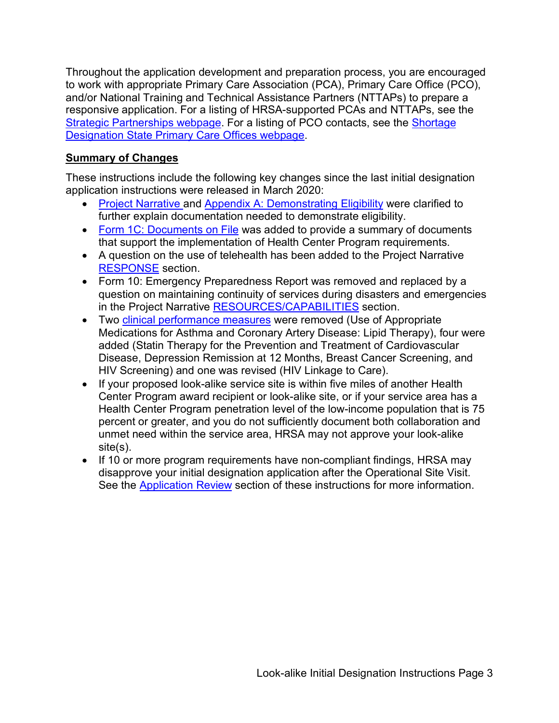Throughout the application development and preparation process, you are encouraged to work with appropriate Primary Care Association (PCA), Primary Care Office (PCO), and/or National Training and Technical Assistance Partners (NTTAPs) to prepare a responsive application. For a listing of HRSA-supported PCAs and NTTAPs, see the [Strategic Partnerships webpage.](https://bphc.hrsa.gov/qualityimprovement/strategicpartnerships/index.html) For a listing of PCO contacts, see the [Shortage](https://bhw.hrsa.gov/shortage-designation/hpsa/primary-care-offices)  [Designation State Primary Care Offices webpage.](https://bhw.hrsa.gov/shortage-designation/hpsa/primary-care-offices)

### **Summary of Changes**

 These instructions include the following key changes since the last initial designation application instructions were released in March 2020:

- [Project Narrative](#page-10-0) and [Appendix A: Demonstrating Eligibility](#page-50-0) were clarified to further explain documentation needed to demonstrate eligibility.
- [Form 1C: Documents on File](#page-31-0) was added to provide a summary of documents that support the implementation of Health Center Program requirements.
- A question on the use of telehealth has been added to the Project Narrative [RESPONSE](#page-12-0) section.
- in the Project Narrative <u>RESOURCES/CAPABILITIES</u> section. • Form 10: Emergency Preparedness Report was removed and replaced by a question on maintaining continuity of services during disasters and emergencies
- HIV Screening) and one was revised (HIV Linkage to Care). • Two [clinical performance measures](#page-42-0) were removed (Use of Appropriate Medications for Asthma and Coronary Artery Disease: Lipid Therapy), four were added (Statin Therapy for the Prevention and Treatment of Cardiovascular Disease, Depression Remission at 12 Months, Breast Cancer Screening, and
- If your proposed look-alike service site is within five miles of another Health Center Program award recipient or look-alike site, or if your service area has a Health Center Program penetration level of the low-income population that is 75 percent or greater, and you do not sufficiently document both collaboration and unmet need within the service area, HRSA may not approve your look-alike site(s).
- If 10 or more program requirements have non-compliant findings, HRSA may disapprove your initial designation application after the Operational Site Visit. See the **Application Review** section of these instructions for more information.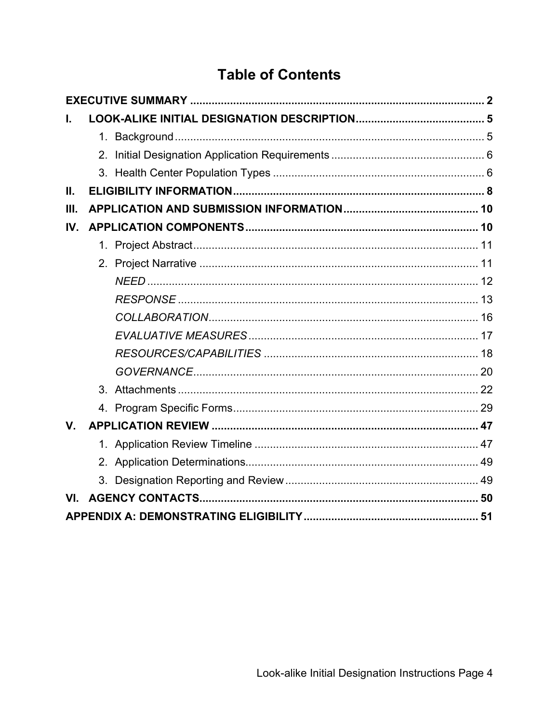# **Table of Contents**

| L.      |  |  |
|---------|--|--|
|         |  |  |
|         |  |  |
|         |  |  |
| Ш.      |  |  |
| Ш.      |  |  |
| IV.     |  |  |
|         |  |  |
|         |  |  |
|         |  |  |
|         |  |  |
|         |  |  |
|         |  |  |
|         |  |  |
|         |  |  |
|         |  |  |
|         |  |  |
| $V_{-}$ |  |  |
|         |  |  |
|         |  |  |
|         |  |  |
| VI.     |  |  |
|         |  |  |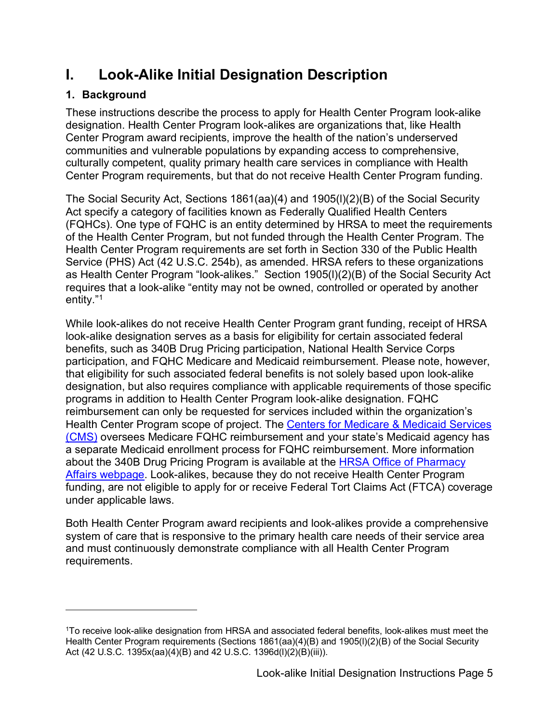## <span id="page-4-0"></span>**I. Look-Alike Initial Designation Description**

### <span id="page-4-1"></span>**1. Background**

These instructions describe the process to apply for Health Center Program look-alike designation. Health Center Program look-alikes are organizations that, like Health Center Program award recipients, improve the health of the nation's underserved communities and vulnerable populations by expanding access to comprehensive, culturally competent, quality primary health care services in compliance with Health Center Program requirements, but that do not receive Health Center Program funding.

 Health Center Program requirements are set forth in Section 330 of the Public Health as Health Center Program "look-alikes." Section 1905(l)(2)(B) of the Social Security Act entity.["1](#page-4-2)  The Social Security Act, Sections 1861(aa)(4) and 1905(l)(2)(B) of the Social Security Act specify a category of facilities known as Federally Qualified Health Centers (FQHCs). One type of FQHC is an entity determined by HRSA to meet the requirements of the Health Center Program, but not funded through the Health Center Program. The Service (PHS) Act (42 U.S.C. 254b), as amended. HRSA refers to these organizations requires that a look-alike "entity may not be owned, controlled or operated by another

 While look-alikes do not receive Health Center Program grant funding, receipt of HRSA look-alike designation serves as a basis for eligibility for certain associated federal Health Center Program scope of project. The <u>Centers for Medicare & Medicaid Services</u> [\(CMS\)](https://www.cms.gov/Center/Provider-Type/Federally-Qualified-Health-Centers-FQHC-Center.html) oversees Medicare FQHC reimbursement and your state's Medicaid agency has benefits, such as 340B Drug Pricing participation, National Health Service Corps participation, and FQHC Medicare and Medicaid reimbursement. Please note, however, that eligibility for such associated federal benefits is not solely based upon look-alike designation, but also requires compliance with applicable requirements of those specific programs in addition to Health Center Program look-alike designation. FQHC reimbursement can only be requested for services included within the organization's a separate Medicaid enrollment process for FQHC reimbursement. More information about the 340B Drug Pricing Program is available at the [HRSA Office of Pharmacy](http://www.hrsa.gov/opa)  [Affairs webpage.](http://www.hrsa.gov/opa) Look-alikes, because they do not receive Health Center Program funding, are not eligible to apply for or receive Federal Tort Claims Act (FTCA) coverage under applicable laws.

Both Health Center Program award recipients and look-alikes provide a comprehensive system of care that is responsive to the primary health care needs of their service area and must continuously demonstrate compliance with all Health Center Program requirements.

<span id="page-4-2"></span><sup>1</sup>To receive look-alike designation from HRSA and associated federal benefits, look-alikes must meet the Health Center Program requirements (Sections 1861(aa)(4)(B) and 1905(l)(2)(B) of the Social Security Act (42 U.S.C. 1395x(aa)(4)(B) and 42 U.S.C. 1396d(l)(2)(B)(iii)).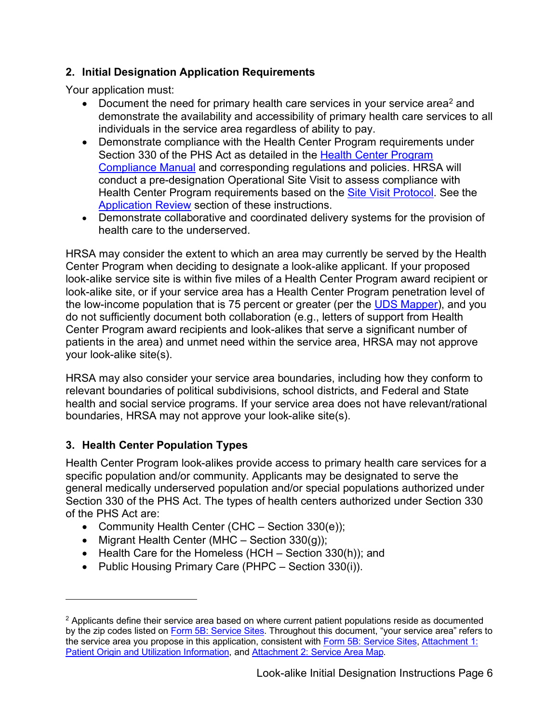#### <span id="page-5-0"></span> **2. Initial Designation Application Requirements**

Your application must:

- Document the need for primary health care services in your service area<sup>[2](#page-5-2)</sup> and demonstrate the availability and accessibility of primary health care services to all individuals in the service area regardless of ability to pay.
- [Compliance Manual](https://bphc.hrsa.gov/programrequirements/compliancemanual/introduction.html) and corresponding regulations and policies. HRSA will conduct a pre-designation Operational Site Visit to assess compliance with [Application Review](#page-46-0) section of these instructions. • Demonstrate compliance with the Health Center Program requirements under Section 330 of the PHS Act as detailed in the [Health Center Program](https://bphc.hrsa.gov/programrequirements/compliancemanual/introduction.html)  Health Center Program requirements based on the [Site Visit Protocol.](https://bphc.hrsa.gov/programrequirements/svprotocol.html) See the
- Demonstrate collaborative and coordinated delivery systems for the provision of health care to the underserved.

 look-alike site, or if your service area has a Health Center Program penetration level of the low-income population that is 75 percent or greater (per the <u>UDS Mapper),</u> and you Center Program award recipients and look-alikes that serve a significant number of HRSA may consider the extent to which an area may currently be served by the Health Center Program when deciding to designate a look-alike applicant. If your proposed look-alike service site is within five miles of a Health Center Program award recipient or do not sufficiently document both collaboration (e.g., letters of support from Health patients in the area) and unmet need within the service area, HRSA may not approve your look-alike site(s).

HRSA may also consider your service area boundaries, including how they conform to relevant boundaries of political subdivisions, school districts, and Federal and State health and social service programs. If your service area does not have relevant/rational boundaries, HRSA may not approve your look-alike site(s).

### <span id="page-5-1"></span>**3. Health Center Population Types**

 Health Center Program look-alikes provide access to primary health care services for a of the PHS Act are: specific population and/or community. Applicants may be designated to serve the general medically underserved population and/or special populations authorized under Section 330 of the PHS Act. The types of health centers authorized under Section 330

- Community Health Center (CHC Section 330(e));
- Migrant Health Center (MHC Section 330(g));
- Health Care for the Homeless (HCH Section 330(h)); and
- Public Housing Primary Care (PHPC Section 330(i)).

<span id="page-5-2"></span> $<sup>2</sup>$  Applicants define their service area based on where current patient populations reside as documented</sup> by the zip codes listed on [Form 5B: Service Sites.](#page-39-0) Throughout this document, "your service area" refers to the service area you propose in this application, consistent with [Form 5B: Service Sites,](#page-39-0) Attachment 1: [Patient Origin and Utilization Information,](#page-21-1) and [Attachment 2: Service Area Map.](#page-22-0)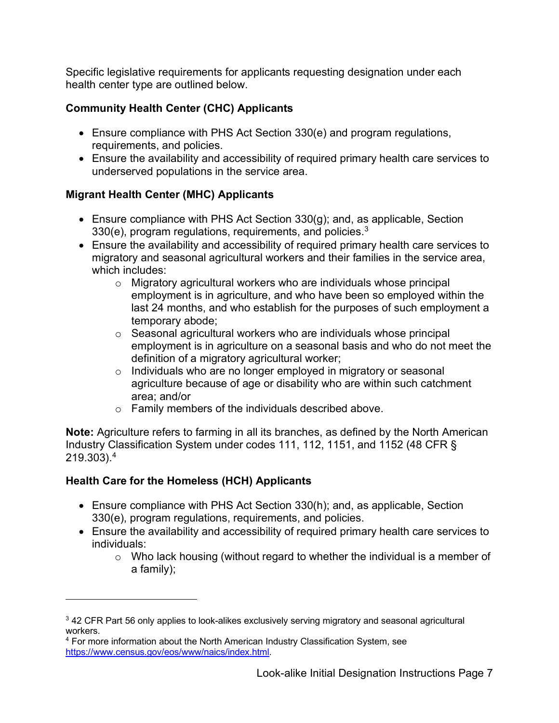Specific legislative requirements for applicants requesting designation under each health center type are outlined below.

### **Community Health Center (CHC) Applicants**

- Ensure compliance with PHS Act Section 330(e) and program regulations, requirements, and policies.
- • Ensure the availability and accessibility of required primary health care services to underserved populations in the service area.

### **Migrant Health Center (MHC) Applicants**

- 330(e), program regulations, requirements, and policies.<sup>3</sup> • Ensure compliance with PHS Act Section 330(g); and, as applicable, Section
- • Ensure the availability and accessibility of required primary health care services to migratory and seasonal agricultural workers and their families in the service area, which includes:
	- Migratory agricultural workers who are individuals whose principal employment is in agriculture, and who have been so employed within the last 24 months, and who establish for the purposes of such employment a temporary abode;
	- definition of a migratory agricultural worker; ◦ Seasonal agricultural workers who are individuals whose principal employment is in agriculture on a seasonal basis and who do not meet the
	- Individuals who are no longer employed in migratory or seasonal agriculture because of age or disability who are within such catchment area; and/or
	- Family members of the individuals described above.

 Industry Classification System under codes 111, 112, 1151, and 1152 (48 CFR §  $219.303).^4$ **Note:** Agriculture refers to farming in all its branches, as defined by the North American

### **Health Care for the Homeless (HCH) Applicants**

- Ensure compliance with PHS Act Section 330(h); and, as applicable, Section 330(e), program regulations, requirements, and policies.
- • Ensure the availability and accessibility of required primary health care services to individuals:
	- Who lack housing (without regard to whether the individual is a member of a family);

<span id="page-6-0"></span> $3$  42 CFR Part 56 only applies to look-alikes exclusively serving migratory and seasonal agricultural workers.

<span id="page-6-1"></span><sup>4</sup> For more information about the North American Industry Classification System, see [https://www.census.gov/eos/www/naics/index.html.](https://www.census.gov/eos/www/naics/index.html)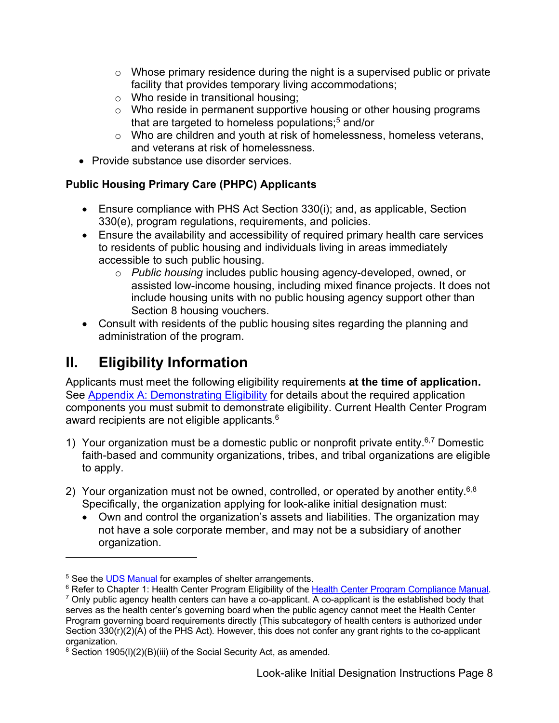- Whose primary residence during the night is a supervised public or private facility that provides temporary living accommodations;
- Who reside in transitional housing;
- that are targeted to homeless populations; [5](#page-7-2)  and/or  $\circ$  Who reside in permanent supportive housing or other housing programs
- Who are children and youth at risk of homelessness, homeless veterans, and veterans at risk of homelessness.
- Provide substance use disorder services.

### **Public Housing Primary Care (PHPC) Applicants**

- Ensure compliance with PHS Act Section 330(i); and, as applicable, Section 330(e), program regulations, requirements, and policies.
- • Ensure the availability and accessibility of required primary health care services accessible to such public housing. to residents of public housing and individuals living in areas immediately
	- ◦ *Public housing* includes public housing agency-developed, owned, or include housing units with no public housing agency support other than assisted low-income housing, including mixed finance projects. It does not Section 8 housing vouchers.
- Consult with residents of the public housing sites regarding the planning and administration of the program.

## <span id="page-7-0"></span>**II. Eligibility Information**

Applicants must meet the following eligibility requirements **at the time of application.**  See [Appendix A: Demonstrating Eligibility](#page-50-0) for details about the required application components you must submit to demonstrate eligibility. Current Health Center Program award recipients are not eligible applicants. $^6$ 

- <span id="page-7-1"></span>1) Your organization must be a domestic public or nonprofit private entity.<sup>[6,](#page-7-1)[7](#page-7-4)</sup> Domestic faith-based and community organizations, tribes, and tribal organizations are eligible to apply.
- 2) Your organization must not be owned, controlled, or operated by another entity.<sup>[6,](#page-7-1)[8](#page-7-5)</sup> Specifically, the organization applying for look-alike initial designation must:
	- Own and control the organization's assets and liabilities. The organization may not have a sole corporate member, and may not be a subsidiary of another organization.

<span id="page-7-2"></span><sup>&</sup>lt;sup>5</sup> See th[e UDS Manual](http://www.bphc.hrsa.gov/datareporting/reporting/index.html) for examples of shelter arrangements.

<span id="page-7-4"></span><span id="page-7-3"></span><sup>&</sup>lt;sup>6</sup> Refer to Chapter 1: Health Center Program Eligibility of the Health Center Program Compliance Manual.  $7$  Only public agency health centers can have a co-applicant. A co-applicant is the established body that serves as the health center's governing board when the public agency cannot meet the Health Center Program governing board requirements directly (This subcategory of health centers is authorized under Section 330(r)(2)(A) of the PHS Act). However, this does not confer any grant rights to the co-applicant organization.

<span id="page-7-5"></span> $8$  Section 1905(I)(2)(B)(iii) of the Social Security Act, as amended.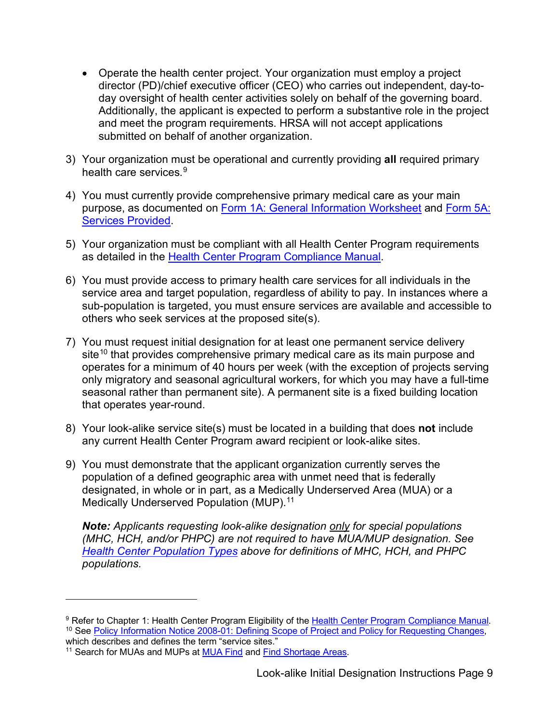- • Operate the health center project. Your organization must employ a project director (PD)/chief executive officer (CEO) who carries out independent, day-today oversight of health center activities solely on behalf of the governing board. Additionally, the applicant is expected to perform a substantive role in the project and meet the program requirements. HRSA will not accept applications submitted on behalf of another organization.
- 3) Your organization must be operational and currently providing **all** required primary health care services. [9](#page-8-0)
- **Services Provided.** 4) You must currently provide comprehensive primary medical care as your main purpose, as documented on [Form 1A: General Information Worksheet](#page-28-1) and [Form 5A:](#page-38-0)
- 5) Your organization must be compliant with all Health Center Program requirements as detailed in the [Health Center Program Compliance Manual.](https://bphc.hrsa.gov/programrequirements/compliancemanual/introduction.html)
- 6) You must provide access to primary health care services for all individuals in the service area and target population, regardless of ability to pay. In instances where a sub-population is targeted, you must ensure services are available and accessible to others who seek services at the proposed site(s).
- 7) You must request initial designation for at least one permanent service delivery  $\mathsf{s}$ ite $^{10}$  that provides comprehensive primary medical care as its main purpose and operates for a minimum of 40 hours per week (with the exception of projects serving only migratory and seasonal agricultural workers, for which you may have a full-time seasonal rather than permanent site). A permanent site is a fixed building location that operates year-round.
- 8) Your look-alike service site(s) must be located in a building that does **not** include any current Health Center Program award recipient or look-alike sites.
- 9) You must demonstrate that the applicant organization currently serves the population of a defined geographic area with unmet need that is federally designated, in whole or in part, as a Medically Underserved Area (MUA) or a Medically Underserved Population (MUP). [11](#page-8-2)

*Note: Applicants requesting look-alike designation only for special populations (MHC, HCH, and/or PHPC) are not required to have MUA/MUP designation. See [Health Center Population Types](#page-5-1) above for definitions of MHC, HCH, and PHPC populations.* 

<span id="page-8-1"></span><span id="page-8-0"></span><sup>&</sup>lt;sup>9</sup> Refer to Chapter 1: Health Center Program Eligibility of the Health Center Program Compliance Manual. <sup>10</sup> See [Policy Information Notice 2008-01: Defining Scope of Project and Policy for Requesting Changes,](https://bphc.hrsa.gov/sites/default/files/bphc/programrequirements/pdf/pin2008-01.pdf) which describes and defines the term "service sites."

<span id="page-8-2"></span><sup>&</sup>lt;sup>11</sup> Search for MUAs and MUPs at **MUA Find and [Find Shortage Areas.](https://data.hrsa.gov/tools/shortage-area/by-address)**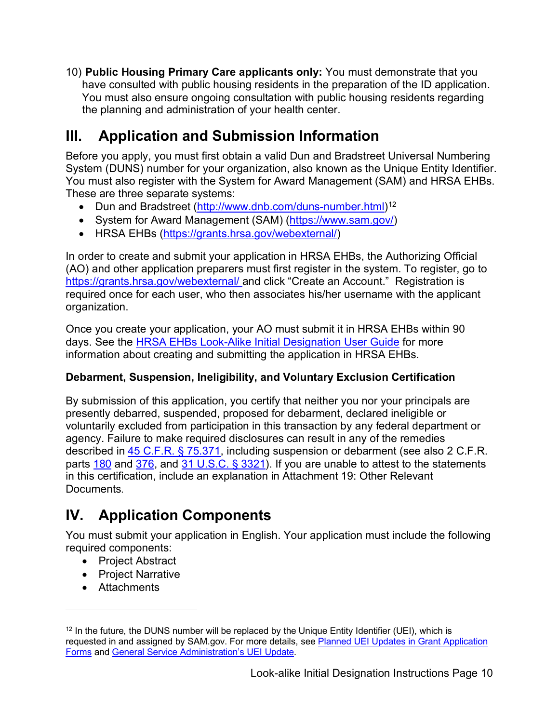10) **Public Housing Primary Care applicants only:** You must demonstrate that you have consulted with public housing residents in the preparation of the ID application. You must also ensure ongoing consultation with public housing residents regarding the planning and administration of your health center.

# <span id="page-9-0"></span>**III. Application and Submission Information**

 System (DUNS) number for your organization, also known as the Unique Entity Identifier. Before you apply, you must first obtain a valid Dun and Bradstreet Universal Numbering You must also register with the System for Award Management (SAM) and HRSA EHBs. These are three separate systems:

- Dun and Bradstreet [\(http://www.dnb.com/duns-number.html\)](http://www.dnb.com/duns-number.html)<sup>[12](#page-9-2)</sup>
- System for Award Management (SAM) [\(https://www.sam.gov/\)](https://www.sam.gov/)
- HRSA EHBs [\(https://grants.hrsa.gov/webexternal/\)](https://grants.hrsa.gov/webexternal/)

 [https://grants.hrsa.gov/webexternal/ a](https://grants.hrsa.gov/webexternal/)nd click "Create an Account." Registration is In order to create and submit your application in HRSA EHBs, the Authorizing Official (AO) and other application preparers must first register in the system. To register, go to required once for each user, who then associates his/her username with the applicant organization.

 Once you create your application, your AO must submit it in HRSA EHBs within 90 days. See the [HRSA EHBs Look-Alike Initial Designation User Guide](https://help.hrsa.gov/display/public/EHBSKBFG/Look-Alike+Initial+Designation+Application+User+Guide) for more information about creating and submitting the application in HRSA EHBs.

### **Debarment, Suspension, Ineligibility, and Voluntary Exclusion Certification**

parts <u>180</u> and <u>376</u>, and <u>31 U.S.C. § 3321</u>). If you are unable to attest to the statements By submission of this application, you certify that neither you nor your principals are presently debarred, suspended, proposed for debarment, declared ineligible or voluntarily excluded from participation in this transaction by any federal department or agency. Failure to make required disclosures can result in any of the remedies described in [45 C.F.R. § 75.371,](http://www.ecfr.gov/cgi-bin/text-idx?node=pt45.1.75) including suspension or debarment (see also 2 C.F.R. in this certification, include an explanation in Attachment 19: Other Relevant Documents.

# <span id="page-9-1"></span>**IV. Application Components**

 You must submit your application in English. Your application must include the following required components:

- Project Abstract
- Project Narrative
- Attachments

<span id="page-9-2"></span> $12$  In the future, the DUNS number will be replaced by the Unique Entity Identifier (UEI), which is requested in and assigned by SAM.gov. For more details, see Planned UEI Updates in Grant Application [Forms](https://www.grants.gov/web/grants/forms/planned-uei-updates.html) an[d General Service Administration's UEI Update.](https://www.gsa.gov/entityid)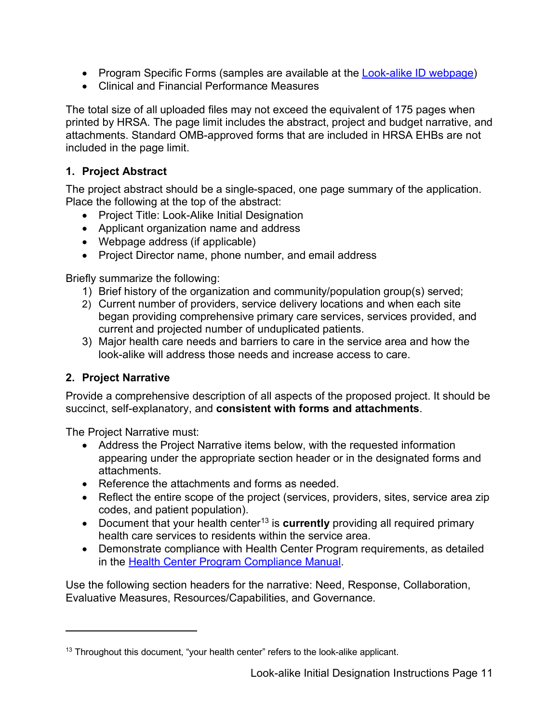- Program Specific Forms (samples are available at the [Look-alike ID webpage\)](http://bphc.hrsa.gov/programopportunities/lookalike/initialdesignationinstructions.html)
- Clinical and Financial Performance Measures

 printed by HRSA. The page limit includes the abstract, project and budget narrative, and included in the page limit. The total size of all uploaded files may not exceed the equivalent of 175 pages when attachments. Standard OMB-approved forms that are included in HRSA EHBs are not

#### <span id="page-10-1"></span>**1. Project Abstract**

The project abstract should be a single-spaced, one page summary of the application. Place the following at the top of the abstract:

- Project Title: Look-Alike Initial Designation
- Applicant organization name and address
- Webpage address (if applicable)
- Project Director name, phone number, and email address

Briefly summarize the following:

- 1) Brief history of the organization and community/population group(s) served;
- 2) Current number of providers, service delivery locations and when each site began providing comprehensive primary care services, services provided, and current and projected number of unduplicated patients.
- 3) Major health care needs and barriers to care in the service area and how the look-alike will address those needs and increase access to care.

### <span id="page-10-0"></span>**2. Project Narrative**

Provide a comprehensive description of all aspects of the proposed project. It should be succinct, self-explanatory, and **consistent with forms and attachments**.

The Project Narrative must:

- Address the Project Narrative items below, with the requested information appearing under the appropriate section header or in the designated forms and attachments.
- Reference the attachments and forms as needed
- Reflect the entire scope of the project (services, providers, sites, service area zip codes, and patient population).
- Document that your health center<sup>[13](#page-10-2)</sup> is **currently** providing all required primary health care services to residents within the service area.
- • Demonstrate compliance with Health Center Program requirements, as detailed in the Health Center Program Compliance Manual

Use the following section headers for the narrative: Need, Response, Collaboration, Evaluative Measures, Resources/Capabilities, and Governance.

<span id="page-10-2"></span> $13$  Throughout this document, "your health center" refers to the look-alike applicant.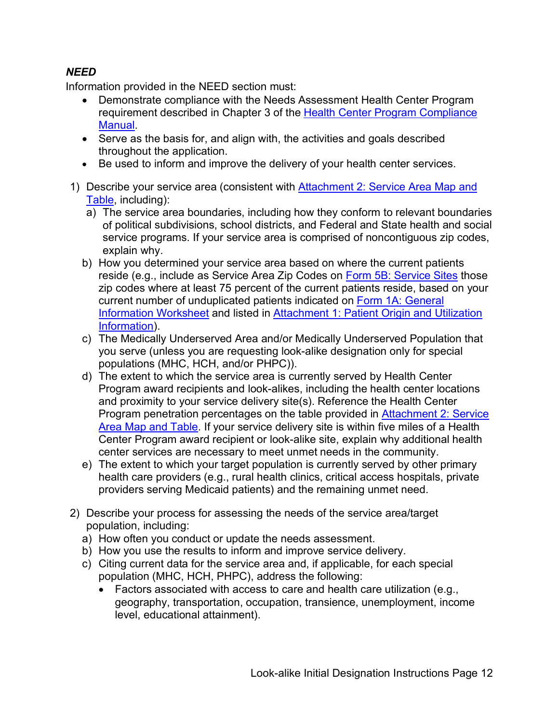### <span id="page-11-0"></span>*NEED*

Information provided in the NEED section must:

- Demonstrate compliance with the Needs Assessment Health Center Program requirement described in Chapter 3 of the [Health Center Program Compliance](https://bphc.hrsa.gov/programrequirements/compliancemanual/introduction.html)  [Manual.](https://bphc.hrsa.gov/programrequirements/compliancemanual/introduction.html)
- Serve as the basis for, and align with, the activities and goals described throughout the application.
- Be used to inform and improve the delivery of your health center services.
- 1) Describe your service area (consistent with [Attachment 2: Service Area Map and](#page-22-0)  [Table,](#page-22-0) including):
	- service programs. If your service area is comprised of noncontiguous zip codes, a) The service area boundaries, including how they conform to relevant boundaries of political subdivisions, school districts, and Federal and State health and social explain why.
	- b) How you determined your service area based on where the current patients reside (e.g., include as Service Area Zip Codes on [Form 5B: Service Sites](#page-39-0) those zip codes where at least 75 percent of the current patients reside, based on your current number of unduplicated patients indicated on [Form 1A: General](#page-28-1)  [Information Worksheet](#page-28-1) and listed in [Attachment 1: Patient Origin and Utilization](#page-21-1)  [Information\)](#page-21-1).
	- c) The Medically Underserved Area and/or Medically Underserved Population that you serve (unless you are requesting look-alike designation only for special populations (MHC, HCH, and/or PHPC)).
	- d) The extent to which the service area is currently served by Health Center center services are necessary to meet unmet needs in the community. Program award recipients and look-alikes, including the health center locations and proximity to your service delivery site(s). Reference the Health Center Program penetration percentages on the table provided in **Attachment 2: Service** [Area Map and Table.](#page-22-0) If your service delivery site is within five miles of a Health Center Program award recipient or look-alike site, explain why additional health
	- health care providers (e.g., rural health clinics, critical access hospitals, private e) The extent to which your target population is currently served by other primary providers serving Medicaid patients) and the remaining unmet need.
- population, including: 2) Describe your process for assessing the needs of the service area/target
	- a) How often you conduct or update the needs assessment.
	- b) How you use the results to inform and improve service delivery.
	- c) Citing current data for the service area and, if applicable, for each special population (MHC, HCH, PHPC), address the following:
		- Factors associated with access to care and health care utilization (e.g., geography, transportation, occupation, transience, unemployment, income level, educational attainment).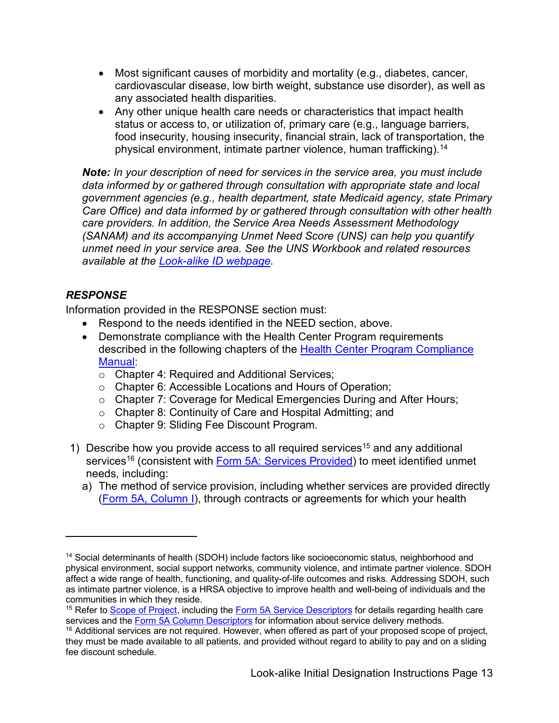- • Most significant causes of morbidity and mortality (e.g., diabetes, cancer, cardiovascular disease, low birth weight, substance use disorder), as well as any associated health disparities.
- Any other unique health care needs or characteristics that impact health status or access to, or utilization of, primary care (e.g., language barriers, food insecurity, housing insecurity, financial strain, lack of transportation, the physical environment, intimate partner violence, human trafficking).<sup>14</sup>

**Note:** In your description of need for services in the service area, you must include  *data informed by or gathered through consultation with appropriate state and local unmet need in your service area. See the UNS Workbook and related resources*  Note: *In your description of need for services in the service area, you must include government agences (e.g., health department, state Medicald agency, state Primaria (agence) and data informed by or gathered for ought c government agencies (e.g., health department, state Medicaid agency, state Primary Care Office) and data informed by or gathered through consultation with other health care providers. In addition, the Service Area Needs Assessment Methodology (SANAM) and its accompanying Unmet Need Score (UNS) can help you quantify available at the [Look-alike ID webpage.](http://bphc.hrsa.gov/programopportunities/lookalike/initialdesignationinstructions.html)* 

### <span id="page-12-0"></span>*RESPONSE*

Information provided in the RESPONSE section must:

- Respond to the needs identified in the NEED section, above.
- Demonstrate compliance with the Health Center Program requirements described in the following chapters of the Health Center Program Compliance [Manual:](https://bphc.hrsa.gov/programrequirements/compliancemanual/introduction.html)
	- Chapter 4: Required and Additional Services;
	- Chapter 6: Accessible Locations and Hours of Operation;
	- Chapter 7: Coverage for Medical Emergencies During and After Hours;
	- Chapter 8: Continuity of Care and Hospital Admitting; and
	- Chapter 9: Sliding Fee Discount Program.
- 1) Describe how you provide access to all required services<sup>15</sup> and any additional services<sup>[16](#page-12-3)</sup> (consistent with <u>Form 5A: Services Provided</u>) to meet identified unmet needs, including:
	- a) The method of service provision, including whether services are provided directly [\(Form 5A, Column I\)](#page-38-0), through contracts or agreements for which your health

<span id="page-12-1"></span>communities in which they reside. <sup>14</sup> Social determinants of health (SDOH) include factors like socioeconomic status, neighborhood and physical environment, social support networks, community violence, and intimate partner violence. SDOH affect a wide range of health, functioning, and quality-of-life outcomes and risks. Addressing SDOH, such as intimate partner violence, is a HRSA objective to improve health and well-being of individuals and the

<span id="page-12-2"></span><sup>15</sup> Refer to [Scope of Project,](http://bphc.hrsa.gov/programrequirements/scope.html) including the [Form 5A Service Descriptors](https://bphc.hrsa.gov/sites/default/files/bphc/programrequirements/scope/form5aservicedescriptors.pdf) for details regarding health care services and th[e Form 5A Column Descriptors](https://bphc.hrsa.gov/sites/default/files/bphc/programrequirements/scope/form5acolumndescriptors.pdf) for information about service delivery methods.

<span id="page-12-3"></span> $16$  Additional services are not required. However, when offered as part of your proposed scope of project, they must be made available to all patients, and provided without regard to ability to pay and on a sliding fee discount schedule.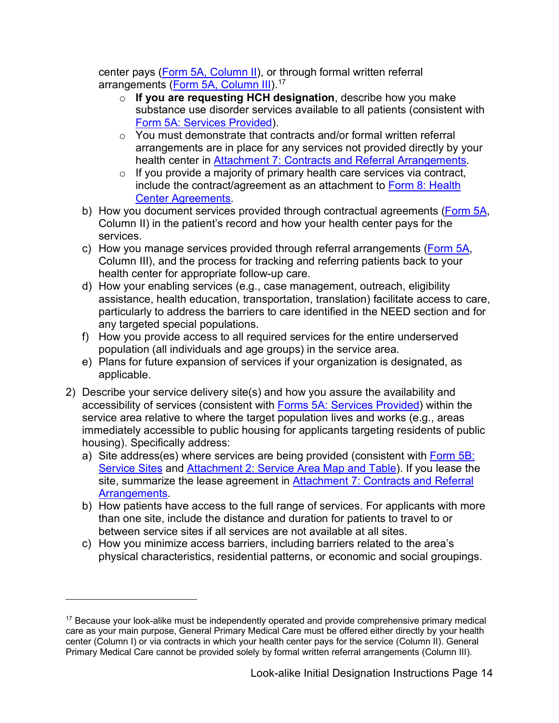arrangements (<u>Form 5A, Column III</u>).<sup>[17](#page-13-0)</sup> center pays [\(Form 5A, Column II\)](#page-38-0), or through formal written referral

- ◦ **If you are requesting HCH designation**, describe how you make substance use disorder services available to all patients (consistent with [Form 5A: Services Provided\)](#page-38-0).
- arrangements are in place for any services not provided directly by your ◦ You must demonstrate that contracts and/or formal written referral health center in [Attachment 7: Contracts and Referral Arrangements.](#page-23-0)
- $\circ$  If you provide a majority of primary health care services via contract, include the contract/agreement as an attachment to [Form 8: Health](#page-42-1)  [Center Agreements.](#page-42-1)
- b) How you document services provided through contractual agreements [\(Form 5A,](#page-38-0) Column II) in the patient's record and how your health center pays for the services.
- c) How you manage services provided through referral arrangements [\(Form 5A,](#page-38-0) Column III), and the process for tracking and referring patients back to your health center for appropriate follow-up care.
- assistance, health education, transportation, translation) facilitate access to care, d) How your enabling services (e.g., case management, outreach, eligibility particularly to address the barriers to care identified in the NEED section and for any targeted special populations.
- f) How you provide access to all required services for the entire underserved population (all individuals and age groups) in the service area.
- e) Plans for future expansion of services if your organization is designated, as applicable.
- 2) Describe your service delivery site(s) and how you assure the availability and accessibility of services (consistent with [Forms 5A: Services Provided\)](#page-38-0) within the service area relative to where the target population lives and works (e.g., areas immediately accessible to public housing for applicants targeting residents of public housing). Specifically address:
	- a) Site address(es) where services are being provided (consistent with Form 5B: [Service Sites](#page-39-0) and [Attachment 2: Service Area Map and Table\)](#page-22-0). If you lease the site, summarize the lease agreement in Attachment 7: Contracts and Referral [Arrangements.](#page-23-0)
	- between service sites if all services are not available at all sites. b) How patients have access to the full range of services. For applicants with more than one site, include the distance and duration for patients to travel to or
	- physical characteristics, residential patterns, or economic and social groupings. c) How you minimize access barriers, including barriers related to the area's

<span id="page-13-0"></span> center (Column I) or via contracts in which your health center pays for the service (Column II). General  $17$  Because your look-alike must be independently operated and provide comprehensive primary medical care as your main purpose, General Primary Medical Care must be offered either directly by your health Primary Medical Care cannot be provided solely by formal written referral arrangements (Column III).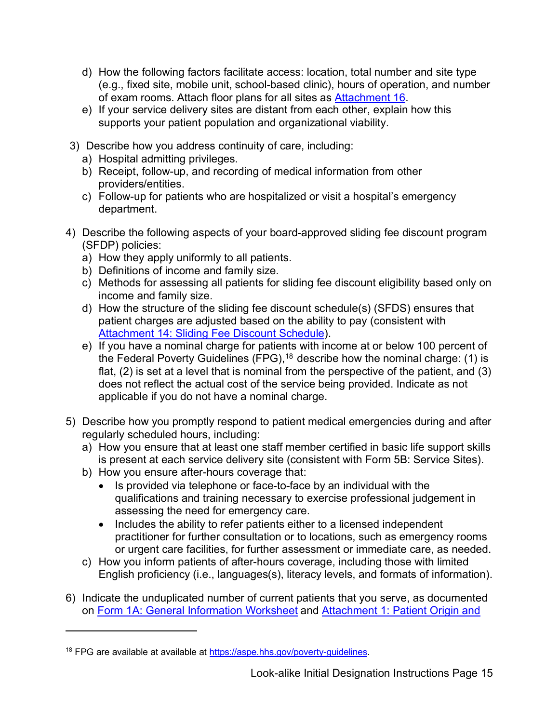- (e.g., fixed site, mobile unit, school-based clinic), hours of operation, and number d) How the following factors facilitate access: location, total number and site type of exam rooms. Attach floor plans for all sites as [Attachment 16.](#page-27-0)
- e) If your service delivery sites are distant from each other, explain how this supports your patient population and organizational viability.
- 3) Describe how you address continuity of care, including:
	- a) Hospital admitting privileges.
	- b) Receipt, follow-up, and recording of medical information from other providers/entities.
	- c) Follow-up for patients who are hospitalized or visit a hospital's emergency department.
- 4) Describe the following aspects of your board-approved sliding fee discount program (SFDP) policies:
	- a) How they apply uniformly to all patients.
	- b) Definitions of income and family size.
	- c) Methods for assessing all patients for sliding fee discount eligibility based only on income and family size.
	- d) How the structure of the sliding fee discount schedule(s) (SFDS) ensures that patient charges are adjusted based on the ability to pay (consistent with [Attachment 14: Sliding Fee Discount Schedule\)](#page-26-0).
	- the Federal Poverty Guidelines (FPG), $^{18}$  describe how the nominal charge: (1) is flat, (2) is set at a level that is nominal from the perspective of the patient, and (3) applicable if you do not have a nominal charge. e) If you have a nominal charge for patients with income at or below 100 percent of does not reflect the actual cost of the service being provided. Indicate as not
- 5) Describe how you promptly respond to patient medical emergencies during and after regularly scheduled hours, including:
	- is present at each service delivery site (consistent with Form 5B: Service Sites). a) How you ensure that at least one staff member certified in basic life support skills
	- b) How you ensure after-hours coverage that:
		- Is provided via telephone or face-to-face by an individual with the qualifications and training necessary to exercise professional judgement in assessing the need for emergency care.
		- practitioner for further consultation or to locations, such as emergency rooms • Includes the ability to refer patients either to a licensed independent or urgent care facilities, for further assessment or immediate care, as needed.
	- c) How you inform patients of after-hours coverage, including those with limited English proficiency (i.e., languages(s), literacy levels, and formats of information).
- on [Form 1A: General Information Worksheet](#page-28-1) and [Attachment 1: Patient Origin and](#page-21-1)  6) Indicate the unduplicated number of current patients that you serve, as documented

<span id="page-14-0"></span><sup>&</sup>lt;sup>18</sup> FPG are available at available at [https://aspe.hhs.gov/poverty-guidelines.](https://aspe.hhs.gov/poverty-guidelines)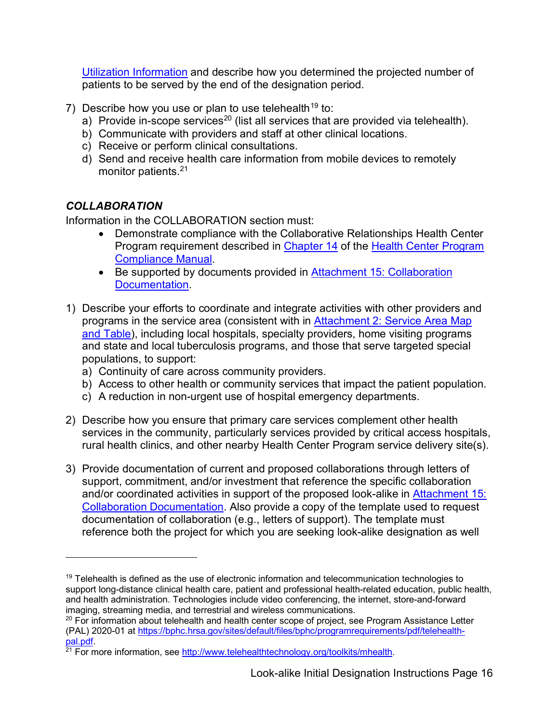[Utilization Information](#page-21-1) and describe how you determined the projected number of patients to be served by the end of the designation period.

- 7) Describe how you use or plan to use telehealth<sup>19</sup> to:
	- a) Provide in-scope services $^{20}$  (list all services that are provided via telehealth).
	- b) Communicate with providers and staff at other clinical locations.
	- c) Receive or perform clinical consultations.
	- d) Send and receive health care information from mobile devices to remotely monitor patients. [21](#page-15-3)

### <span id="page-15-0"></span>*COLLABORATION*

Information in the COLLABORATION section must:

- Program requirement described in <u>Chapter 14</u> of the <u>Health Center Program</u> • Demonstrate compliance with the Collaborative Relationships Health Center [Compliance Manual.](https://bphc.hrsa.gov/programrequirements/compliancemanual/introduction.html)
- Be supported by documents provided in Attachment 15: Collaboration [Documentation.](#page-26-1)
- programs in the service area (consistent with in <u>Attachment 2: Service Area Map</u> and state and local tuberculosis programs, and those that serve targeted special 1) Describe your efforts to coordinate and integrate activities with other providers and [and Table\)](#page-22-0), including local hospitals, specialty providers, home visiting programs populations, to support:
	- a) Continuity of care across community providers.
	- b) Access to other health or community services that impact the patient population.
	- c) A reduction in non-urgent use of hospital emergency departments.
- services in the community, particularly services provided by critical access hospitals, 2) Describe how you ensure that primary care services complement other health rural health clinics, and other nearby Health Center Program service delivery site(s).
- 3) Provide documentation of current and proposed collaborations through letters of support, commitment, and/or investment that reference the specific collaboration and/or coordinated activities in support of the proposed look-alike in [Attachment 15:](#page-26-1)  [Collaboration Documentation.](#page-26-1) Also provide a copy of the template used to request documentation of collaboration (e.g., letters of support). The template must reference both the project for which you are seeking look-alike designation as well

<span id="page-15-1"></span> $19$  Telehealth is defined as the use of electronic information and telecommunication technologies to support long-distance clinical health care, patient and professional health-related education, public health, and health administration. Technologies include video conferencing, the internet, store-and-forward imaging, streaming media, and terrestrial and wireless communications.

<span id="page-15-2"></span> $20$  For information about telehealth and health center scope of project, see Program Assistance Letter (PAL) 2020-01 at [https://bphc.hrsa.gov/sites/default/files/bphc/programrequirements/pdf/telehealth](https://bphc.hrsa.gov/sites/default/files/bphc/programrequirements/pdf/telehealth-pal.pdf)[pal.pdf.](https://bphc.hrsa.gov/sites/default/files/bphc/programrequirements/pdf/telehealth-pal.pdf)

<span id="page-15-3"></span><sup>&</sup>lt;sup>21</sup> For more information, see <u>http://www.telehealthtechnology.org/toolkits/mhealth</u>.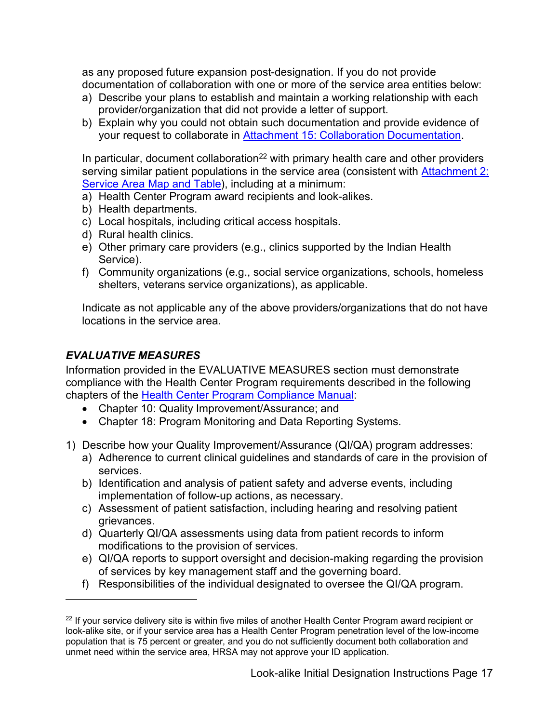as any proposed future expansion post-designation. If you do not provide documentation of collaboration with one or more of the service area entities below:

- a) Describe your plans to establish and maintain a working relationship with each provider/organization that did not provide a letter of support.
- b) Explain why you could not obtain such documentation and provide evidence of your request to collaborate in **Attachment 15: Collaboration Documentation**.

In particular, document collaboration<sup>22</sup> with primary health care and other providers serving similar patient populations in the service area (consistent with Attachment 2: [Service Area Map and Table\)](#page-22-0), including at a minimum:

- a) Health Center Program award recipients and look-alikes.
- b) Health departments.
- c) Local hospitals, including critical access hospitals.
- d) Rural health clinics.
- e) Other primary care providers (e.g., clinics supported by the Indian Health Service).
- f) Community organizations (e.g., social service organizations, schools, homeless shelters, veterans service organizations), as applicable.

 Indicate as not applicable any of the above providers/organizations that do not have locations in the service area.

#### <span id="page-16-0"></span>*EVALUATIVE MEASURES*

 Information provided in the EVALUATIVE MEASURES section must demonstrate compliance with the Health Center Program requirements described in the following chapters of the [Health Center Program Compliance Manual:](https://bphc.hrsa.gov/programrequirements/compliancemanual/introduction.html)

- Chapter 10: Quality Improvement/Assurance; and
- Chapter 18: Program Monitoring and Data Reporting Systems.
- 1) Describe how your Quality Improvement/Assurance (QI/QA) program addresses:
	- a) Adherence to current clinical guidelines and standards of care in the provision of services.
	- b) Identification and analysis of patient safety and adverse events, including implementation of follow-up actions, as necessary.
	- c) Assessment of patient satisfaction, including hearing and resolving patient grievances.
	- d) Quarterly QI/QA assessments using data from patient records to inform modifications to the provision of services.
	- e) QI/QA reports to support oversight and decision-making regarding the provision of services by key management staff and the governing board.
	- f) Responsibilities of the individual designated to oversee the QI/QA program.

<span id="page-16-1"></span><sup>&</sup>lt;sup>22</sup> If your service delivery site is within five miles of another Health Center Program award recipient or look-alike site, or if your service area has a Health Center Program penetration level of the low-income population that is 75 percent or greater, and you do not sufficiently document both collaboration and unmet need within the service area, HRSA may not approve your ID application.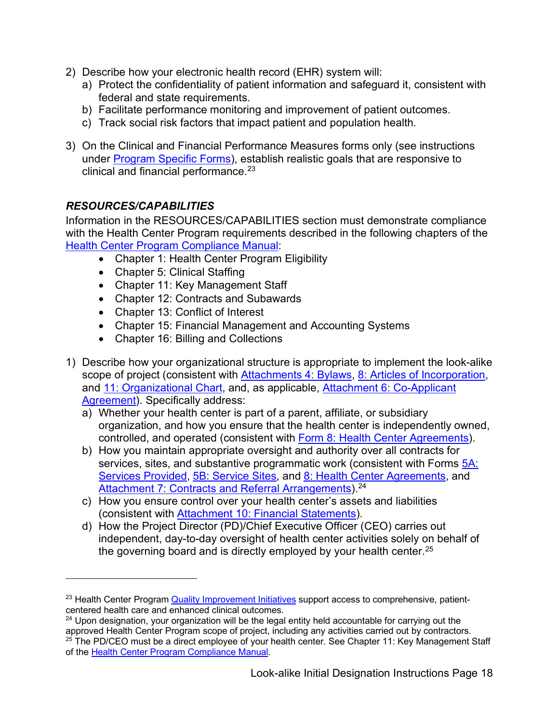- 2) Describe how your electronic health record (EHR) system will:
	- a) Protect the confidentiality of patient information and safeguard it, consistent with federal and state requirements.
	- b) Facilitate performance monitoring and improvement of patient outcomes.
	- c) Track social risk factors that impact patient and population health.
- clinical and financial performance. $^{23}$ 3) On the Clinical and Financial Performance Measures forms only (see instructions under [Program Specific Forms\)](#page-42-0), establish realistic goals that are responsive to

### <span id="page-17-0"></span>*RESOURCES/CAPABILITIES*

Information in the RESOURCES/CAPABILITIES section must demonstrate compliance with the Health Center Program requirements described in the following chapters of the [Health Center Program Compliance Manual:](https://bphc.hrsa.gov/programrequirements/compliancemanual/introduction.html)

- Chapter 1: Health Center Program Eligibility
- Chapter 5: Clinical Staffing
- Chapter 11: Key Management Staff
- Chapter 12: Contracts and Subawards
- Chapter 13: Conflict of Interest
- Chapter 15: Financial Management and Accounting Systems
- Chapter 16: Billing and Collections
- 1) Describe how your organizational structure is appropriate to implement the look-alike scope of project (consistent with [Attachments 4: Bylaws,](#page-23-1) [8: Articles of Incorporation,](#page-24-0) and [11: Organizational Chart,](#page-25-0) and, as applicable, [Attachment 6: Co-Applicant](#page-23-2)  [Agreement\)](#page-23-2). Specifically address:
	- organization, and how you ensure that the health center is independently owned, a) Whether your health center is part of a parent, affiliate, or subsidiary controlled, and operated (consistent with [Form 8: Health Center Agreements\)](#page-42-1).
	- [Services Provided,](#page-38-0) [5B: Service Sites,](#page-39-0) and [8: Health Center Agreements,](#page-42-1) and b) How you maintain appropriate oversight and authority over all contracts for services, sites, and substantive programmatic work (consistent with Forms 5A: [Attachment 7: Contracts and Referral Arrangements\)](#page-23-0).<sup>[24](#page-17-2)</sup>
	- c) How you ensure control over your health center's assets and liabilities (consistent with [Attachment 10: Financial Statements\)](#page-25-1).
	- d) How the Project Director (PD)/Chief Executive Officer (CEO) carries out independent, day-to-day oversight of health center activities solely on behalf of the governing board and is directly employed by your health center. $^{25}$

<span id="page-17-1"></span><sup>&</sup>lt;sup>23</sup> Health Center Progra[m Quality Improvement Initiatives](https://bphc.hrsa.gov/qualityimprovement/index.html) support access to comprehensive, patientcentered health care and enhanced clinical outcomes.

<span id="page-17-3"></span><span id="page-17-2"></span> $^{25}$  The PD/CEO must be a direct employee of your health center. See Chapter 11: Key Management Staff <sup>24</sup> Upon designation, your organization will be the legal entity held accountable for carrying out the approved Health Center Program scope of project, including any activities carried out by contractors. of the [Health Center Program Compliance Manual.](https://bphc.hrsa.gov/programrequirements/compliancemanual/introduction.html)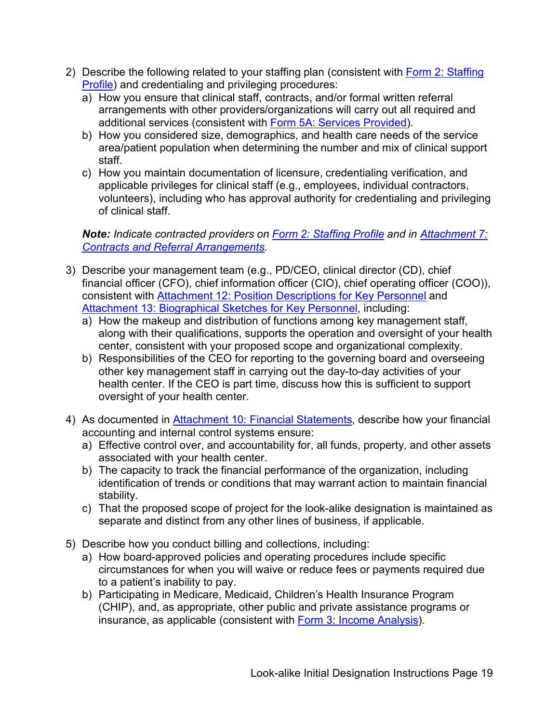- 2) Describe the following related to your staffing plan (consistent with [Form 2: Staffing](#page-31-1)  [Profile\)](#page-31-1) and credentialing and privileging procedures:
	- a) How you ensure that clinical staff, contracts, and/or formal written referral arrangements with other providers/organizations will carry out all required and additional services (consistent with [Form 5A: Services Provided\)](#page-38-0).
	- b) How you considered size, demographics, and health care needs of the service area/patient population when determining the number and mix of clinical support staff.
	- c) How you maintain documentation of licensure, credentialing verification, and applicable privileges for clinical staff (e.g., employees, individual contractors, volunteers), including who has approval authority for credentialing and privileging of clinical staff.

#### *Note: Indicate contracted providers on [Form 2: Staffing Profile](#page-31-1) and in [Attachment 7:](#page-23-0)  [Contracts and Referral Arrangements.](#page-23-0)*

- 3) Describe your management team (e.g., PD/CEO, clinical director (CD), chief financial officer (CFO), chief information officer (CIO), chief operating officer (COO)), consistent with [Attachment 12: Position Descriptions for Key Personnel](#page-25-2) and [Attachment 13: Biographical Sketches for Key Personnel,](#page-26-2) including:
	- a) How the makeup and distribution of functions among key management staff, along with their qualifications, supports the operation and oversight of your health center, consistent with your proposed scope and organizational complexity.
	- health center. If the CEO is part time, discuss how this is sufficient to support b) Responsibilities of the CEO for reporting to the governing board and overseeing other key management staff in carrying out the day-to-day activities of your oversight of your health center.
- accounting and internal control systems ensure: 4) As documented in **Attachment 10: Financial Statements**, describe how your financial
	- a) Effective control over, and accountability for, all funds, property, and other assets associated with your health center.
	- identification of trends or conditions that may warrant action to maintain financial b) The capacity to track the financial performance of the organization, including stability.
	- c) That the proposed scope of project for the look-alike designation is maintained as separate and distinct from any other lines of business, if applicable.
- 5) Describe how you conduct billing and collections, including:
	- a) How board-approved policies and operating procedures include specific circumstances for when you will waive or reduce fees or payments required due to a patient's inability to pay.
	- b) Participating in Medicare, Medicaid, Children's Health Insurance Program (CHIP), and, as appropriate, other public and private assistance programs or insurance, as applicable (consistent with [Form 3: Income Analysis\)](#page-32-0).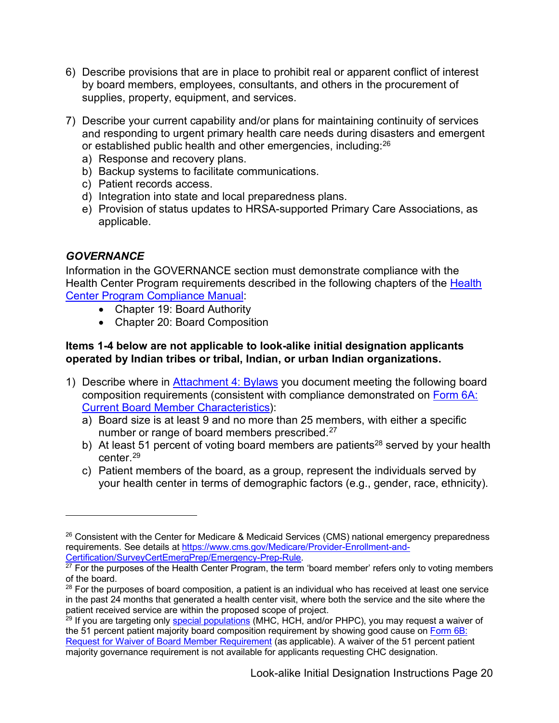- 6) Describe provisions that are in place to prohibit real or apparent conflict of interest by board members, employees, consultants, and others in the procurement of supplies, property, equipment, and services.
- or established public health and other emergencies, including: [26](#page-19-1)  7) Describe your current capability and/or plans for maintaining continuity of services and responding to urgent primary health care needs during disasters and emergent
	- a) Response and recovery plans.
	- b) Backup systems to facilitate communications.
	- c) Patient records access.
	- d) Integration into state and local preparedness plans.
	- e) Provision of status updates to HRSA-supported Primary Care Associations, as applicable.

#### <span id="page-19-0"></span>*GOVERNANCE*

Information in the GOVERNANCE section must demonstrate compliance with the Health Center Program requirements described in the following chapters of the [Health](https://bphc.hrsa.gov/programrequirements/compliancemanual/introduction.html)  [Center Program Compliance Manual:](https://bphc.hrsa.gov/programrequirements/compliancemanual/introduction.html)

- Chapter 19: Board Authority
- Chapter 20: Board Composition

#### **Items 1-4 below are not applicable to look-alike initial designation applicants operated by Indian tribes or tribal, Indian, or urban Indian organizations.**

- 1) Describe where in [Attachment 4: Bylaws](#page-23-1) you document meeting the following board composition requirements (consistent with compliance demonstrated on [Form 6A:](#page-40-0)  [Current Board Member Characteristics\)](#page-40-0):
	- a) Board size is at least 9 and no more than 25 members, with either a specific number or range of board members prescribed.<sup>[27](#page-19-2)</sup>
	- b) At least 51 percent of voting board members are patients<sup>[28](#page-19-3)</sup> served by your health center. [29](#page-19-4)
	- c) Patient members of the board, as a group, represent the individuals served by your health center in terms of demographic factors (e.g., gender, race, ethnicity).

<span id="page-19-1"></span> $26$  Consistent with the Center for Medicare & Medicaid Services (CMS) national emergency preparedness requirements. See details at [https://www.cms.gov/Medicare/Provider-Enrollment-and-](https://www.cms.gov/Medicare/Provider-Enrollment-and-Certification/SurveyCertEmergPrep/Emergency-Prep-Rule)[Certification/SurveyCertEmergPrep/Emergency-Prep-Rule.](https://www.cms.gov/Medicare/Provider-Enrollment-and-Certification/SurveyCertEmergPrep/Emergency-Prep-Rule)

<span id="page-19-2"></span> $27$  For the purposes of the Health Center Program, the term 'board member' refers only to voting members of the board.

<span id="page-19-3"></span> $28$  For the purposes of board composition, a patient is an individual who has received at least one service in the past 24 months that generated a health center visit, where both the service and the site where the patient received service are within the proposed scope of project.

<span id="page-19-4"></span> $29$  If you are targeting only [special populations \(](https://bphc.hrsa.gov/programrequirements/compliancemanual/glossary.html#special-population)MHC, HCH, and/or PHPC), you may request a waiver of the 51 percent patient majority board composition requirement by showing good cause on [Form 6B:](#page-41-0)  [Request for Waiver of Board Member Requirement](#page-41-0) (as applicable). A waiver of the 51 percent patient majority governance requirement is not available for applicants requesting CHC designation.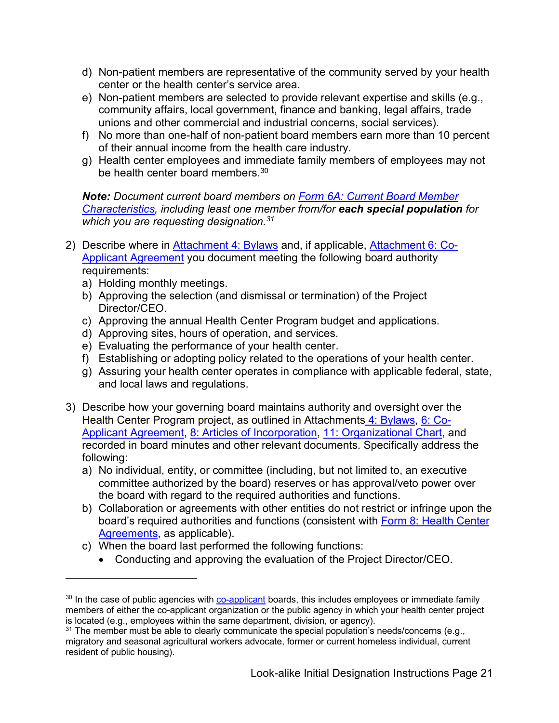- d) Non-patient members are representative of the community served by your health center or the health center's service area.
- e) Non-patient members are selected to provide relevant expertise and skills (e.g., community affairs, local government, finance and banking, legal affairs, trade unions and other commercial and industrial concerns, social services).
- f) No more than one-half of non-patient board members earn more than 10 percent of their annual income from the health care industry.
- g) Health center employees and immediate family members of employees may not be health center board members. [30](#page-20-0)

*Note: Document current board members on [Form 6A: Current Board Member](#page-40-0)  [Characteristics,](#page-40-0) including least one member from/for each special population for which you are requesting designation.[31](#page-20-1)* 

- 2) Describe where in <u>Attachment 4: Bylaws</u> and, if applicable, <u>Attachment 6: Co-</u> [Applicant Agreement](#page-23-2) you document meeting the following board authority requirements:
	- a) Holding monthly meetings.
	- b) Approving the selection (and dismissal or termination) of the Project Director/CEO.
	- c) Approving the annual Health Center Program budget and applications.
	- d) Approving sites, hours of operation, and services.
	- e) Evaluating the performance of your health center.
	- f) Establishing or adopting policy related to the operations of your health center.
	- g) Assuring your health center operates in compliance with applicable federal, state, and local laws and regulations.
- 3) Describe how your governing board maintains authority and oversight over the Health Center Program project, as outlined in Attachment[s 4: Bylaws,](#page-23-1) [6: Co-](#page-23-2)[Applicant Agreement,](#page-23-2) [8: Articles of Incorporation,](#page-24-0) [11: Organizational Chart,](#page-25-0) and recorded in board minutes and other relevant documents. Specifically address the following:
	- a) No individual, entity, or committee (including, but not limited to, an executive committee authorized by the board) reserves or has approval/veto power over the board with regard to the required authorities and functions.
	- b) Collaboration or agreements with other entities do not restrict or infringe upon the board's required authorities and functions (consistent with Form 8: Health Center [Agreements,](#page-42-1) as applicable).
	- c) When the board last performed the following functions:
		- Conducting and approving the evaluation of the Project Director/CEO.

<span id="page-20-0"></span> $30$  In the case of public agencies with [co-applicant](https://bphc.hrsa.gov/programrequirements/compliancemanual/glossary.html#co-applicant) boards, this includes employees or immediate family members of either the co-applicant organization or the public agency in which your health center project is located (e.g., employees within the same department, division, or agency).

<span id="page-20-1"></span> $^\mathrm{31}$  The member must be able to clearly communicate the special population's needs/concerns (e.g., migratory and seasonal agricultural workers advocate, former or current homeless individual, current resident of public housing).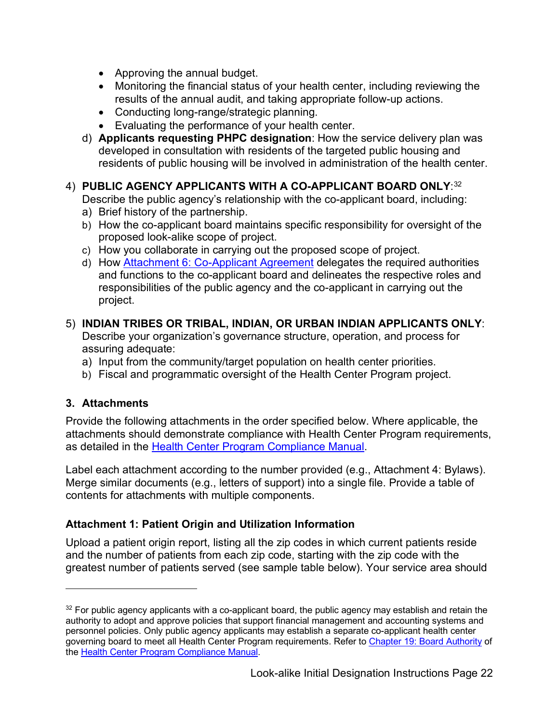- Approving the annual budget.
- Monitoring the financial status of your health center, including reviewing the results of the annual audit, and taking appropriate follow-up actions.
- Conducting long-range/strategic planning.
- Evaluating the performance of your health center.
- d) **Applicants requesting PHPC designation**: How the service delivery plan was developed in consultation with residents of the targeted public housing and residents of public housing will be involved in administration of the health center.

### 4) **PUBLIC AGENCY APPLICANTS WITH A CO-APPLICANT BOARD ONLY**: [32](#page-21-2)

Describe the public agency's relationship with the co-applicant board, including:

- a) Brief history of the partnership.
- b) How the co-applicant board maintains specific responsibility for oversight of the proposed look-alike scope of project.
- c) How you collaborate in carrying out the proposed scope of project.
- d) How [Attachment 6: Co-Applicant Agreement](#page-23-2) delegates the required authorities and functions to the co-applicant board and delineates the respective roles and responsibilities of the public agency and the co-applicant in carrying out the project.

#### 5) **INDIAN TRIBES OR TRIBAL, INDIAN, OR URBAN INDIAN APPLICANTS ONLY**: Describe your organization's governance structure, operation, and process for assuring adequate:

- a) Input from the community/target population on health center priorities.
- b) Fiscal and programmatic oversight of the Health Center Program project.

### <span id="page-21-0"></span>**3. Attachments**

Provide the following attachments in the order specified below. Where applicable, the attachments should demonstrate compliance with Health Center Program requirements, as detailed in the [Health Center Program Compliance Manual.](https://bphc.hrsa.gov/programrequirements/compliancemanual/introduction.html)

 Label each attachment according to the number provided (e.g., Attachment 4: Bylaws). Merge similar documents (e.g., letters of support) into a single file. Provide a table of contents for attachments with multiple components.

### <span id="page-21-1"></span> **Attachment 1: Patient Origin and Utilization Information**

 greatest number of patients served (see sample table below). Your service area should Upload a patient origin report, listing all the zip codes in which current patients reside and the number of patients from each zip code, starting with the zip code with the

<span id="page-21-2"></span> personnel policies. Only public agency applicants may establish a separate co-applicant health center  $32$  For public agency applicants with a co-applicant board, the public agency may establish and retain the authority to adopt and approve policies that support financial management and accounting systems and governing board to meet all Health Center Program requirements. Refer to [Chapter 19: Board Authority](https://bphc.hrsa.gov/programrequirements/compliancemanual/chapter-19.html) of th[e Health Center Program Compliance Manual.](https://bphc.hrsa.gov/programrequirements/compliancemanual/introduction.html)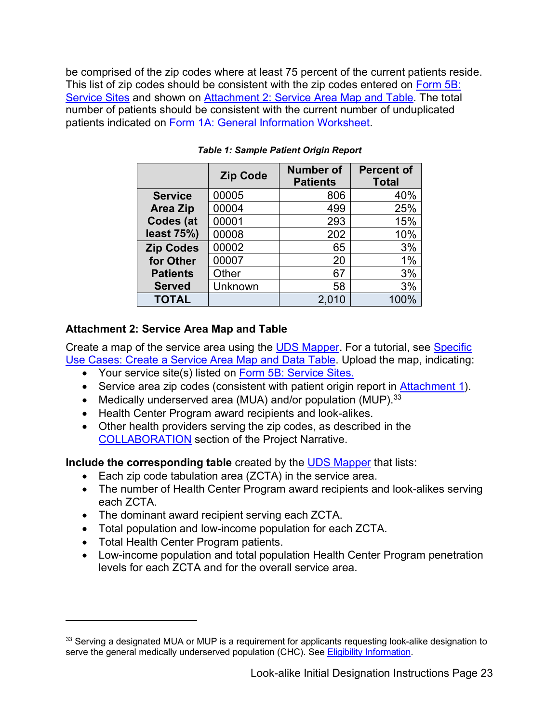be comprised of the zip codes where at least 75 percent of the current patients reside. This list of zip codes should be consistent with the zip codes entered on Form 5B: [Service Sites](#page-39-0) and shown on [Attachment 2: Service Area Map and Table.](#page-22-0) The total number of patients should be consistent with the current number of unduplicated patients indicated on [Form 1A: General Information Worksheet.](#page-28-1)

|                  | <b>Zip Code</b> | <b>Number of</b><br><b>Patients</b> | <b>Percent of</b><br><b>Total</b> |
|------------------|-----------------|-------------------------------------|-----------------------------------|
| <b>Service</b>   | 00005           | 806                                 | 40%                               |
| <b>Area Zip</b>  | 00004           | 499                                 | 25%                               |
| Codes (at        | 00001           | 293                                 | 15%                               |
| least 75%)       | 00008           | 202                                 | 10%                               |
| <b>Zip Codes</b> | 00002           | 65                                  | 3%                                |
| for Other        | 00007           | 20                                  | 1%                                |
| <b>Patients</b>  | Other           | 67                                  | 3%                                |
| <b>Served</b>    | Unknown         | 58                                  | 3%                                |
| <b>TOTAL</b>     |                 | 2,010                               | 100%                              |

#### *Table 1: Sample Patient Origin Report*

#### <span id="page-22-0"></span> **Attachment 2: Service Area Map and Table**

<u>Use Cases: Create a Service Area Map and Data Table</u>. Upload the map, indicating: Create a map of the service area using the [UDS Mapper.](http://www.udsmapper.org/) For a tutorial, see [Specific](http://www.udsmapper.org/tutorials.cfm) 

- Your service site(s) listed on **Form 5B: Service Sites.**
- Service area zip codes (consistent with patient origin report in **Attachment 1**).
- Medically underserved area (MUA) and/or population (MUP).  $33$
- Health Center Program award recipients and look-alikes.
- Other health providers serving the zip codes, as described in the [COLLABORATION](#page-15-0) section of the Project Narrative.

**Include the corresponding table** created by the [UDS Mapper](http://www.udsmapper.org/) that lists:

- Each zip code tabulation area (ZCTA) in the service area.
- • The number of Health Center Program award recipients and look-alikes serving each ZCTA.
- The dominant award recipient serving each ZCTA.
- Total population and low-income population for each ZCTA.
- Total Health Center Program patients.
- Low-income population and total population Health Center Program penetration levels for each ZCTA and for the overall service area.

<span id="page-22-1"></span><sup>&</sup>lt;sup>33</sup> Serving a designated MUA or MUP is a requirement for applicants requesting look-alike designation to serve the general medically underserved population (CHC). See [Eligibility Information.](#page-7-0)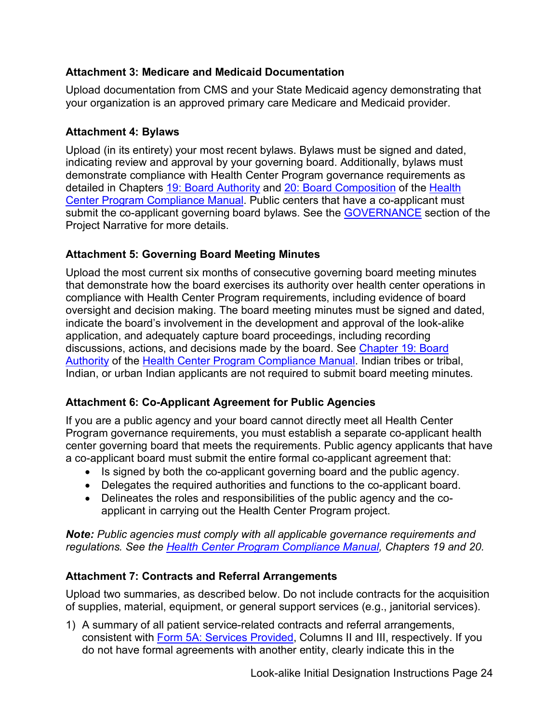### <span id="page-23-3"></span> **Attachment 3: Medicare and Medicaid Documentation**

 Upload documentation from CMS and your State Medicaid agency demonstrating that your organization is an approved primary care Medicare and Medicaid provider.

### <span id="page-23-1"></span>**Attachment 4: Bylaws**

 Upload (in its entirety) your most recent bylaws. Bylaws must be signed and dated, indicating review and approval by your governing board. Additionally, bylaws must demonstrate compliance with Health Center Program governance requirements as detailed in Chapters [19: Board Authority](https://bphc.hrsa.gov/programrequirements/compliancemanual/chapter-19.html) and [20: Board Composition](https://bphc.hrsa.gov/programrequirements/compliancemanual/chapter-20.html) of the Health [Center Program Compliance Manual.](https://bphc.hrsa.gov/programrequirements/compliancemanual/introduction.html) Public centers that have a co-applicant must submit the co-applicant governing board bylaws. See the [GOVERNANCE](#page-19-0) section of the Project Narrative for more details.

### <span id="page-23-4"></span>**Attachment 5: Governing Board Meeting Minutes**

Upload the most current six months of consecutive governing board meeting minutes that demonstrate how the board exercises its authority over health center operations in compliance with Health Center Program requirements, including evidence of board oversight and decision making. The board meeting minutes must be signed and dated, indicate the board's involvement in the development and approval of the look-alike application, and adequately capture board proceedings, including recording discussions, actions, and decisions made by the board. See [Chapter 19: Board](https://bphc.hrsa.gov/programrequirements/compliancemanual/chapter-19.html)  [Authority](https://bphc.hrsa.gov/programrequirements/compliancemanual/chapter-19.html) of the [Health Center Program Compliance Manual.](https://bphc.hrsa.gov/programrequirements/compliancemanual/introduction.html) Indian tribes or tribal, Indian, or urban Indian applicants are not required to submit board meeting minutes.

### <span id="page-23-2"></span>**Attachment 6: Co-Applicant Agreement for Public Agencies**

 If you are a public agency and your board cannot directly meet all Health Center Program governance requirements, you must establish a separate co-applicant health a co-applicant board must submit the entire formal co-applicant agreement that: center governing board that meets the requirements. Public agency applicants that have

- Is signed by both the co-applicant governing board and the public agency.
- Delegates the required authorities and functions to the co-applicant board.
- Delineates the roles and responsibilities of the public agency and the coapplicant in carrying out the Health Center Program project.

*Note: Public agencies must comply with all applicable governance requirements and regulations. See the [Health Center Program Compliance Manual,](https://bphc.hrsa.gov/programrequirements/compliancemanual/index.html) Chapters 19 and 20.* 

### <span id="page-23-0"></span>**Attachment 7: Contracts and Referral Arrangements**

Upload two summaries, as described below. Do not include contracts for the acquisition of supplies, material, equipment, or general support services (e.g., janitorial services).

 1) A summary of all patient service-related contracts and referral arrangements, consistent with [Form 5A: Services Provided,](#page-38-0) Columns II and III, respectively. If you do not have formal agreements with another entity, clearly indicate this in the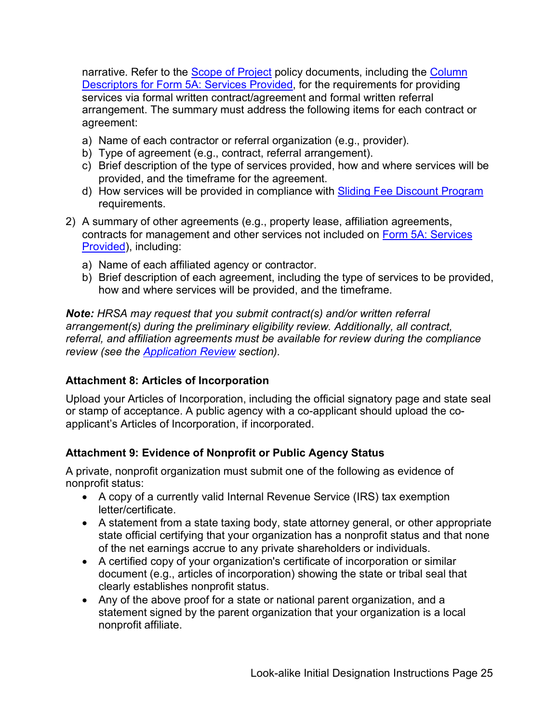narrative. Refer to the <u>Scope of Project</u> policy documents, including the <u>Column</u> [Descriptors for Form 5A: Services Provided,](https://bphc.hrsa.gov/sites/default/files/bphc/programrequirements/scope/form5acolumndescriptors.pdf) for the requirements for providing services via formal written contract/agreement and formal written referral arrangement. The summary must address the following items for each contract or agreement:

- a) Name of each contractor or referral organization (e.g., provider).
- b) Type of agreement (e.g., contract, referral arrangement).
- c) Brief description of the type of services provided, how and where services will be provided, and the timeframe for the agreement.
- d) How services will be provided in compliance with Sliding Fee Discount Program requirements.
- contracts for management and other services not included on <u>Form 5A: Services</u> 2) A summary of other agreements (e.g., property lease, affiliation agreements, [Provided\)](#page-38-0), including:
	- a) Name of each affiliated agency or contractor.
	- b) Brief description of each agreement, including the type of services to be provided, how and where services will be provided, and the timeframe.

 *arrangement(s) during the preliminary eligibility review. Additionally, all contract, referral, and affiliation agreements must be available for review during the compliance Note: HRSA may request that you submit contract(s) and/or written referral review (see the [Application Review](#page-46-0) section).* 

### <span id="page-24-0"></span> **Attachment 8: Articles of Incorporation**

Upload your Articles of Incorporation, including the official signatory page and state seal or stamp of acceptance. A public agency with a co-applicant should upload the coapplicant's Articles of Incorporation, if incorporated.

### <span id="page-24-1"></span> **Attachment 9: Evidence of Nonprofit or Public Agency Status**

 A private, nonprofit organization must submit one of the following as evidence of nonprofit status:

- A copy of a currently valid Internal Revenue Service (IRS) tax exemption letter/certificate.
- A statement from a state taxing body, state attorney general, or other appropriate state official certifying that your organization has a nonprofit status and that none of the net earnings accrue to any private shareholders or individuals.
- • A certified copy of your organization's certificate of incorporation or similar document (e.g., articles of incorporation) showing the state or tribal seal that clearly establishes nonprofit status.
- • Any of the above proof for a state or national parent organization, and a statement signed by the parent organization that your organization is a local nonprofit affiliate.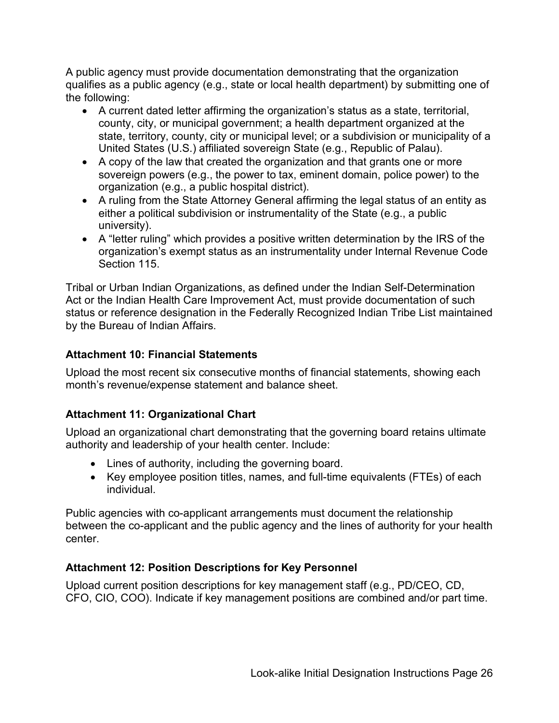<span id="page-25-3"></span>A public agency must provide documentation demonstrating that the organization qualifies as a public agency (e.g., state or local health department) by submitting one of the following:

- A current dated letter affirming the organization's status as a state, territorial, county, city, or municipal government; a health department organized at the state, territory, county, city or municipal level; or a subdivision or municipality of a United States (U.S.) affiliated sovereign State (e.g., Republic of Palau).
- A copy of the law that created the organization and that grants one or more sovereign powers (e.g., the power to tax, eminent domain, police power) to the organization (e.g., a public hospital district).
- A ruling from the State Attorney General affirming the legal status of an entity as either a political subdivision or instrumentality of the State (e.g., a public university).
- Section 115. • A "letter ruling" which provides a positive written determination by the IRS of the organization's exempt status as an instrumentality under Internal Revenue Code

Tribal or Urban Indian Organizations, as defined under the Indian Self-Determination Act or the Indian Health Care Improvement Act, must provide documentation of such status or reference designation in the Federally Recognized Indian Tribe List maintained by the Bureau of Indian Affairs.

### <span id="page-25-1"></span>**Attachment 10: Financial Statements**

Upload the most recent six consecutive months of financial statements, showing each month's revenue/expense statement and balance sheet.

### <span id="page-25-0"></span>**Attachment 11: Organizational Chart**

Upload an organizational chart demonstrating that the governing board retains ultimate authority and leadership of your health center. Include:

- Lines of authority, including the governing board.
- Key employee position titles, names, and full-time equivalents (FTEs) of each individual.

Public agencies with co-applicant arrangements must document the relationship between the co-applicant and the public agency and the lines of authority for your health center.

### <span id="page-25-2"></span>**Attachment 12: Position Descriptions for Key Personnel**

 Upload current position descriptions for key management staff (e.g., PD/CEO, CD, CFO, CIO, COO). Indicate if key management positions are combined and/or part time.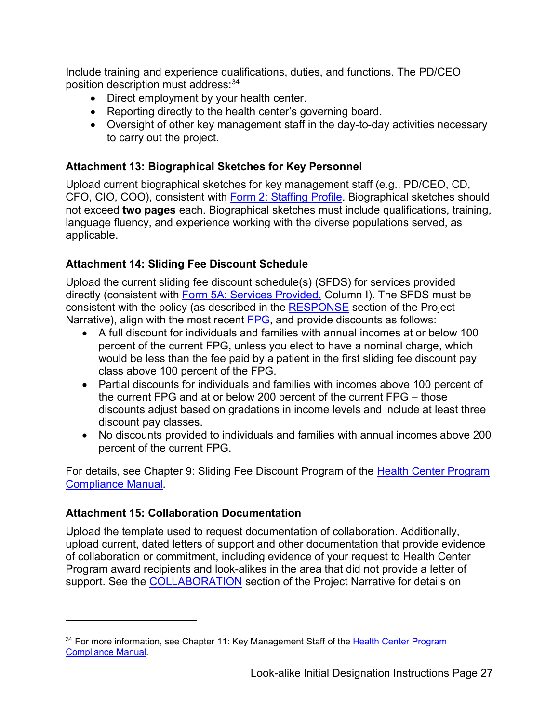Include training and experience qualifications, duties, and functions. The PD/CEO position description must address:[34](#page-26-3) 

- Direct employment by your health center.
- Reporting directly to the health center's governing board.
- Oversight of other key management staff in the day-to-day activities necessary to carry out the project.

#### <span id="page-26-2"></span>**Attachment 13: Biographical Sketches for Key Personnel**

 not exceed **two pages** each. Biographical sketches must include qualifications, training, Upload current biographical sketches for key management staff (e.g., PD/CEO, CD, CFO, CIO, COO), consistent with [Form 2: Staffing Profile.](#page-31-1) Biographical sketches should language fluency, and experience working with the diverse populations served, as applicable.

### <span id="page-26-0"></span>**Attachment 14: Sliding Fee Discount Schedule**

Upload the current sliding fee discount schedule(s) (SFDS) for services provided directly (consistent with [Form 5A: Services Provided,](#page-38-0) Column I). The SFDS must be consistent with the policy (as described in the [RESPONSE](#page-12-0) section of the Project Narrative), align with the most recent [FPG,](https://aspe.hhs.gov/poverty-guidelines) and provide discounts as follows:

- percent of the current FPG, unless you elect to have a nominal charge, which • A full discount for individuals and families with annual incomes at or below 100 would be less than the fee paid by a patient in the first sliding fee discount pay class above 100 percent of the FPG.
- the current FPG and at or below 200 percent of the current FPG those • Partial discounts for individuals and families with incomes above 100 percent of discounts adjust based on gradations in income levels and include at least three discount pay classes.
- No discounts provided to individuals and families with annual incomes above 200 percent of the current FPG.

For details, see Chapter 9: Sliding Fee Discount Program of the Health Center Program [Compliance Manual.](https://bphc.hrsa.gov/programrequirements/compliancemanual/introduction.html)

### <span id="page-26-1"></span>**Attachment 15: Collaboration Documentation**

 upload current, dated letters of support and other documentation that provide evidence support. See the <u>COLLABORATION</u> section of the Project Narrative for details on Upload the template used to request documentation of collaboration. Additionally, of collaboration or commitment, including evidence of your request to Health Center Program award recipients and look-alikes in the area that did not provide a letter of

<span id="page-26-3"></span><sup>&</sup>lt;sup>34</sup> For more information, see Chapter 11: Key Management Staff of the Health Center Program [Compliance Manual.](https://bphc.hrsa.gov/programrequirements/compliancemanual/index.html)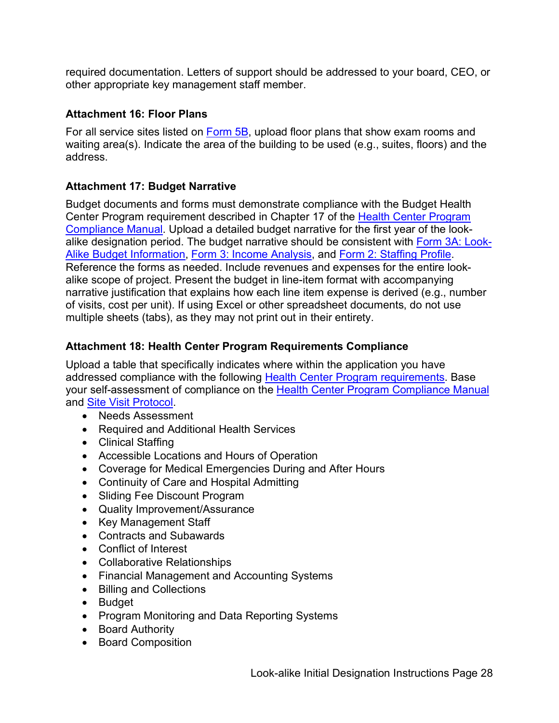required documentation. Letters of support should be addressed to your board, CEO, or other appropriate key management staff member.

### <span id="page-27-0"></span>**Attachment 16: Floor Plans**

For all service sites listed on [Form 5B,](#page-39-0) upload floor plans that show exam rooms and waiting area(s). Indicate the area of the building to be used (e.g., suites, floors) and the address.

### <span id="page-27-1"></span>**Attachment 17: Budget Narrative**

Center Program requirement described in Chapter 17 of the <u>Health Center Program</u> alike scope of project. Present the budget in line-item format with accompanying narrative justification that explains how each line item expense is derived (e.g., number multiple sheets (tabs), as they may not print out in their entirety. Budget documents and forms must demonstrate compliance with the Budget Health [Compliance Manual.](https://bphc.hrsa.gov/programrequirements/compliancemanual/introduction.html) Upload a detailed budget narrative for the first year of the lookalike designation period. The budget narrative should be consistent with [Form 3A: Look-](#page-36-0)[Alike Budget Information,](#page-36-0) [Form 3: Income Analysis,](#page-32-0) and [Form 2: Staffing Profile.](#page-31-1) Reference the forms as needed. Include revenues and expenses for the entire lookof visits, cost per unit). If using Excel or other spreadsheet documents, do not use

### **Attachment 18: Health Center Program Requirements Compliance**

 Upload a table that specifically indicates where within the application you have addressed compliance with the following [Health Center Program requirements.](http://bphc.hrsa.gov/programrequirements/index.html) Base your self-assessment of compliance on the [Health Center Program Compliance Manual](https://bphc.hrsa.gov/programrequirements/compliancemanual/introduction.html)  and [Site Visit Protocol.](https://bphc.hrsa.gov/programrequirements/svprotocol.html)

- Needs Assessment
- Required and Additional Health Services
- Clinical Staffing
- Accessible Locations and Hours of Operation
- Coverage for Medical Emergencies During and After Hours
- Continuity of Care and Hospital Admitting
- Sliding Fee Discount Program
- Quality Improvement/Assurance
- Key Management Staff
- Contracts and Subawards
- Conflict of Interest
- Collaborative Relationships
- Financial Management and Accounting Systems
- Billing and Collections
- Budget
- Program Monitoring and Data Reporting Systems
- Board Authority
- Board Composition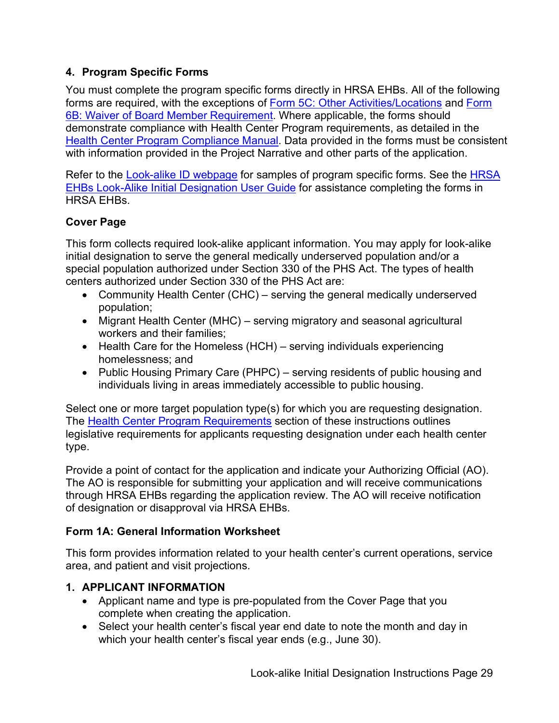### <span id="page-28-0"></span> **4. Program Specific Forms**

 You must complete the program specific forms directly in HRSA EHBs. All of the following forms are required, with the exceptions of [Form 5C: Other Activities/Locations](#page-40-1) and [Form](#page-41-0)  [6B: Waiver of Board Member Requirement.](#page-41-0) Where applicable, the forms should demonstrate compliance with Health Center Program requirements, as detailed in the [Health Center Program Compliance Manual.](https://bphc.hrsa.gov/programrequirements/compliancemanual/introduction.html) Data provided in the forms must be consistent with information provided in the Project Narrative and other parts of the application.

<span id="page-28-2"></span>Refer to the <u>Look-alike ID webpage</u> for samples of program specific forms. See the <u>HRSA</u> [EHBs Look-Alike Initial Designation User Guide](https://help.hrsa.gov/display/public/EHBSKBFG/Look-Alike+Initial+Designation+Application+User+Guide) for assistance completing the forms in HRSA EHBs.

### **Cover Page**

 This form collects required look-alike applicant information. You may apply for look-alike centers authorized under Section 330 of the PHS Act are: initial designation to serve the general medically underserved population and/or a special population authorized under Section 330 of the PHS Act. The types of health

- • Community Health Center (CHC) serving the general medically underserved population;
- • Migrant Health Center (MHC) serving migratory and seasonal agricultural workers and their families;
- • Health Care for the Homeless (HCH) serving individuals experiencing homelessness; and
- • Public Housing Primary Care (PHPC) serving residents of public housing and individuals living in areas immediately accessible to public housing.

The <u>Health Center Program Requirements</u> section of these instructions outlines Select one or more target population type(s) for which you are requesting designation. legislative requirements for applicants requesting designation under each health center type.

 Provide a point of contact for the application and indicate your Authorizing Official (AO). through HRSA EHBs regarding the application review. The AO will receive notification The AO is responsible for submitting your application and will receive communications of designation or disapproval via HRSA EHBs.

### <span id="page-28-1"></span> **Form 1A: General Information Worksheet**

This form provides information related to your health center's current operations, service area, and patient and visit projections.

### **1. APPLICANT INFORMATION**

- Applicant name and type is pre-populated from the Cover Page that you complete when creating the application.
- which your health center's fiscal year ends (e.g., June 30). • Select your health center's fiscal year end date to note the month and day in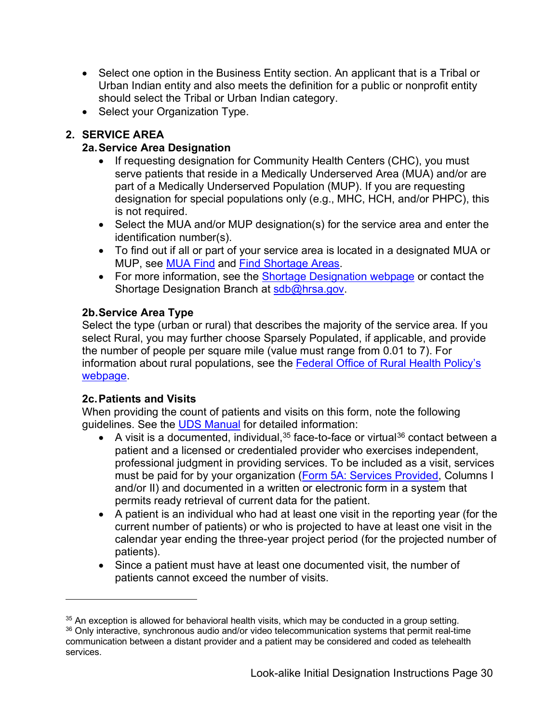- • Select one option in the Business Entity section. An applicant that is a Tribal or Urban Indian entity and also meets the definition for a public or nonprofit entity should select the Tribal or Urban Indian category.
- Select your Organization Type.

## **2. SERVICE AREA**

### **2a.Service Area Designation**

- • If requesting designation for Community Health Centers (CHC), you must designation for special populations only (e.g., MHC, HCH, and/or PHPC), this serve patients that reside in a Medically Underserved Area (MUA) and/or are part of a Medically Underserved Population (MUP). If you are requesting is not required.
- Select the MUA and/or MUP designation(s) for the service area and enter the identification number(s).
- MUP, see <u>MUA Find</u> and <u>Find Shortage Areas</u>. • To find out if all or part of your service area is located in a designated MUA or
- For more information, see the [Shortage Designation webpage](https://bhw.hrsa.gov/shortage-designation) or contact the Shortage Designation Branch at [sdb@hrsa.gov.](mailto:sdb@hrsa.gov)

### **2b.Service Area Type**

Select the type (urban or rural) that describes the majority of the service area. If you select Rural, you may further choose Sparsely Populated, if applicable, and provide the number of people per square mile (value must range from 0.01 to 7). For information about rural populations, see the [Federal Office of Rural Health Policy's](http://www.hrsa.gov/ruralhealth/policy/definition_of_rural.html)  [webpage.](http://www.hrsa.gov/ruralhealth/policy/definition_of_rural.html)

### **2c.Patients and Visits**

 When providing the count of patients and visits on this form, note the following guidelines. See the <u>UDS Manual</u> for detailed information:

- A visit is a documented, individual,<sup>[35](#page-29-0)</sup> face-to-face or virtual<sup>36</sup> contact between a professional judgment in providing services. To be included as a visit, services permits ready retrieval of current data for the patient. patient and a licensed or credentialed provider who exercises independent, must be paid for by your organization [\(Form 5A: Services Provided,](#page-38-0) Columns I and/or II) and documented in a written or electronic form in a system that
- A patient is an individual who had at least one visit in the reporting year (for the current number of patients) or who is projected to have at least one visit in the calendar year ending the three-year project period (for the projected number of patients).
- • Since a patient must have at least one documented visit, the number of patients cannot exceed the number of visits.

<span id="page-29-0"></span> $35$  An exception is allowed for behavioral health visits, which may be conducted in a group setting.

<span id="page-29-1"></span><sup>&</sup>lt;sup>36</sup> Only interactive, synchronous audio and/or video telecommunication systems that permit real-time communication between a distant provider and a patient may be considered and coded as telehealth services.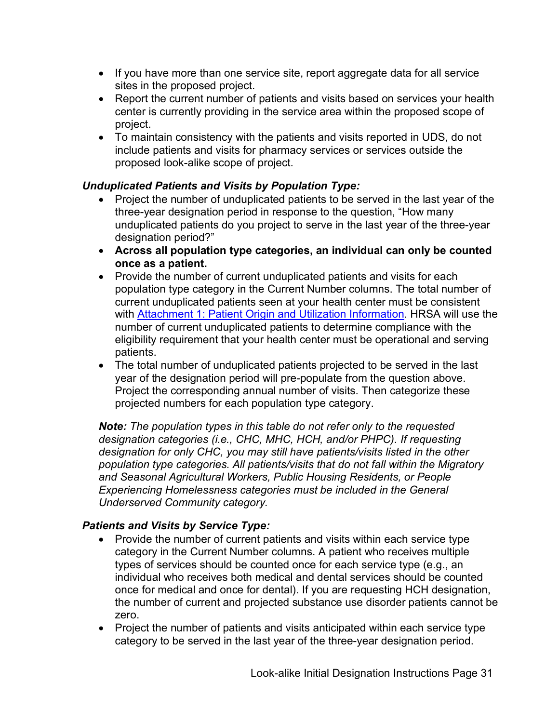- sites in the proposed project. • If you have more than one service site, report aggregate data for all service
- Report the current number of patients and visits based on services your health center is currently providing in the service area within the proposed scope of project.
- To maintain consistency with the patients and visits reported in UDS, do not include patients and visits for pharmacy services or services outside the proposed look-alike scope of project.

### *Unduplicated Patients and Visits by Population Type:*

- three-year designation period in response to the question, "How many • Project the number of unduplicated patients to be served in the last year of the unduplicated patients do you project to serve in the last year of the three-year designation period?"
- **Across all population type categories, an individual can only be counted once as a patient.**
- population type category in the Current Number columns. The total number of eligibility requirement that your health center must be operational and serving • Provide the number of current unduplicated patients and visits for each current unduplicated patients seen at your health center must be consistent with [Attachment 1: Patient Origin and Utilization Information.](#page-21-1) HRSA will use the number of current unduplicated patients to determine compliance with the patients.
- The total number of unduplicated patients projected to be served in the last year of the designation period will pre-populate from the question above. Project the corresponding annual number of visits. Then categorize these projected numbers for each population type category.

 *Note: The population types in this table do not refer only to the requested designation categories (i.e., CHC, MHC, HCH, and/or PHPC). If requesting designation for only CHC, you may still have patients/visits listed in the other population type categories. All patients/visits that do not fall within the Migratory and Seasonal Agricultural Workers, Public Housing Residents, or People Experiencing Homelessness categories must be included in the General Underserved Community category.* 

### *Patients and Visits by Service Type:*

- category in the Current Number columns. A patient who receives multiple • Provide the number of current patients and visits within each service type types of services should be counted once for each service type (e.g., an individual who receives both medical and dental services should be counted once for medical and once for dental). If you are requesting HCH designation, the number of current and projected substance use disorder patients cannot be zero.
- Project the number of patients and visits anticipated within each service type category to be served in the last year of the three-year designation period.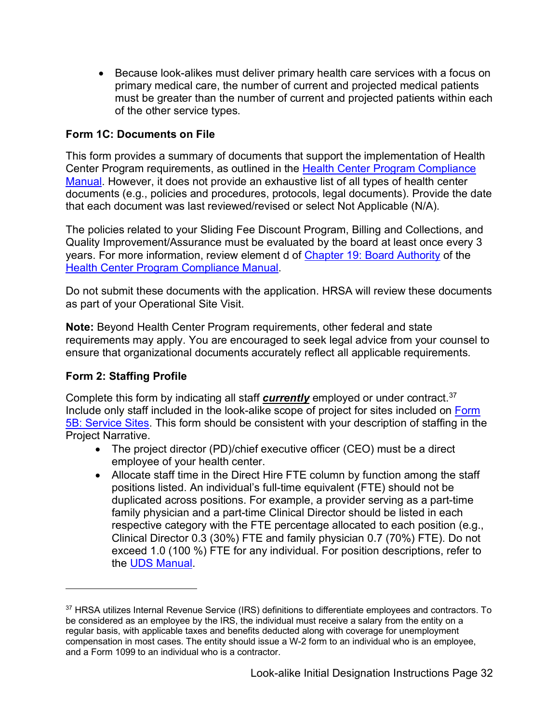• Because look-alikes must deliver primary health care services with a focus on primary medical care, the number of current and projected medical patients must be greater than the number of current and projected patients within each of the other service types.

#### <span id="page-31-0"></span> **Form 1C: Documents on File**

This form provides a summary of documents that support the implementation of Health Center Program requirements, as outlined in the [Health Center Program Compliance](https://bphc.hrsa.gov/programrequirements/compliancemanual/introduction.html)  [Manual.](https://bphc.hrsa.gov/programrequirements/compliancemanual/introduction.html) However, it does not provide an exhaustive list of all types of health center documents (e.g., policies and procedures, protocols, legal documents). Provide the date that each document was last reviewed/revised or select Not Applicable (N/A).

The policies related to your Sliding Fee Discount Program, Billing and Collections, and Quality Improvement/Assurance must be evaluated by the board at least once every 3 years. For more information, review element d of [Chapter 19: Board Authority](https://bphc.hrsa.gov/programrequirements/compliancemanual/chapter-19.html) of the [Health Center Program Compliance Manual.](https://bphc.hrsa.gov/programrequirements/compliancemanual/introduction.html)

Do not submit these documents with the application. HRSA will review these documents as part of your Operational Site Visit.

**Note:** Beyond Health Center Program requirements, other federal and state requirements may apply. You are encouraged to seek legal advice from your counsel to ensure that organizational documents accurately reflect all applicable requirements.

#### <span id="page-31-1"></span>**Form 2: Staffing Profile**

 Complete this form by indicating all staff *currently* employed or under contract. [37](#page-31-2)  Include only staff included in the look-alike scope of project for sites included on Form [5B: Service Sites.](#page-39-0) This form should be consistent with your description of staffing in the Project Narrative.

- • The project director (PD)/chief executive officer (CEO) must be a direct employee of your health center.
- exceed 1.0 (100 %) FTE for any individual. For position descriptions, refer to • Allocate staff time in the Direct Hire FTE column by function among the staff positions listed. An individual's full-time equivalent (FTE) should not be duplicated across positions. For example, a provider serving as a part-time family physician and a part-time Clinical Director should be listed in each respective category with the FTE percentage allocated to each position (e.g., Clinical Director 0.3 (30%) FTE and family physician 0.7 (70%) FTE). Do not the [UDS Manual.](http://bphc.hrsa.gov/datareporting/reporting/index.html)

<span id="page-31-2"></span><sup>&</sup>lt;sup>37</sup> HRSA utilizes Internal Revenue Service (IRS) definitions to differentiate employees and contractors. To be considered as an employee by the IRS, the individual must receive a salary from the entity on a regular basis, with applicable taxes and benefits deducted along with coverage for unemployment compensation in most cases. The entity should issue a W-2 form to an individual who is an employee, and a Form 1099 to an individual who is a contractor.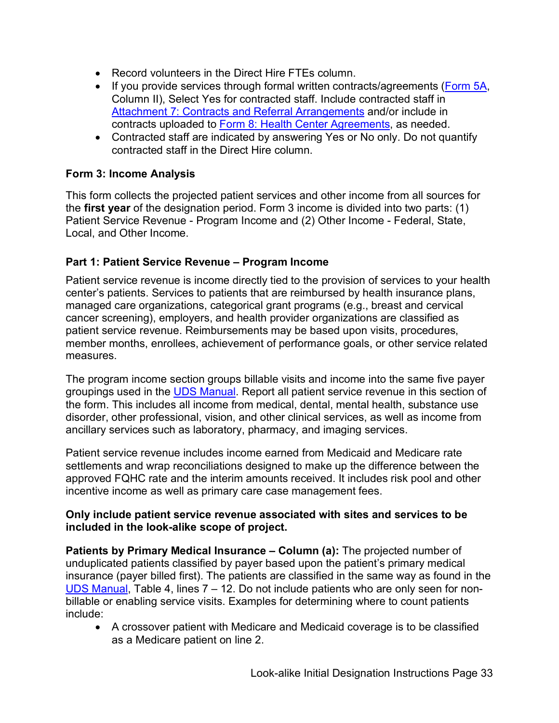- Record volunteers in the Direct Hire FTEs column.
- If you provide services through formal written contracts/agreements [\(Form 5A,](#page-38-0) Column II), Select Yes for contracted staff. Include contracted staff in [Attachment 7: Contracts and Referral Arrangements](#page-23-0) and/or include in contracts uploaded to [Form 8: Health Center Agreements,](#page-42-1) as needed.
- Contracted staff are indicated by answering Yes or No only. Do not quantify contracted staff in the Direct Hire column.

#### <span id="page-32-0"></span> **Form 3: Income Analysis**

 the **first year** of the designation period. Form 3 income is divided into two parts: (1) This form collects the projected patient services and other income from all sources for Patient Service Revenue - Program Income and (2) Other Income - Federal, State, Local, and Other Income.

#### **Part 1: Patient Service Revenue – Program Income**

 managed care organizations, categorical grant programs (e.g., breast and cervical Patient service revenue is income directly tied to the provision of services to your health center's patients. Services to patients that are reimbursed by health insurance plans, cancer screening), employers, and health provider organizations are classified as patient service revenue. Reimbursements may be based upon visits, procedures, member months, enrollees, achievement of performance goals, or other service related measures.

groupings used in the <u>UDS Manual</u>. Report all patient service revenue in this section of ancillary services such as laboratory, pharmacy, and imaging services. The program income section groups billable visits and income into the same five payer the form. This includes all income from medical, dental, mental health, substance use disorder, other professional, vision, and other clinical services, as well as income from

 approved FQHC rate and the interim amounts received. It includes risk pool and other Patient service revenue includes income earned from Medicaid and Medicare rate settlements and wrap reconciliations designed to make up the difference between the incentive income as well as primary care case management fees.

#### **Only include patient service revenue associated with sites and services to be included in the look-alike scope of project.**

 **Patients by Primary Medical Insurance – Column (a):** The projected number of unduplicated patients classified by payer based upon the patient's primary medical [UDS Manual,](http://bphc.hrsa.gov/datareporting/reporting/index.html) Table 4, lines 7 – 12. Do not include patients who are only seen for noninsurance (payer billed first). The patients are classified in the same way as found in the billable or enabling service visits. Examples for determining where to count patients include:

• A crossover patient with Medicare and Medicaid coverage is to be classified as a Medicare patient on line 2.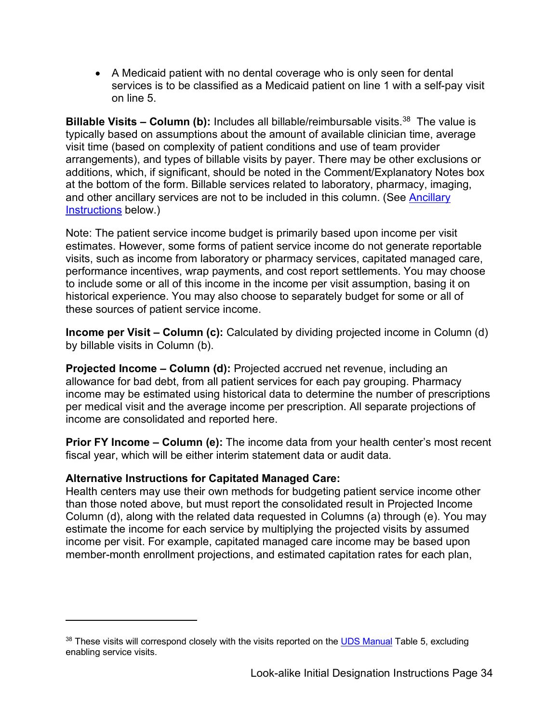• A Medicaid patient with no dental coverage who is only seen for dental services is to be classified as a Medicaid patient on line 1 with a self-pay visit on line 5.

**Billable Visits – Column (b):** Includes all billable/reimbursable visits.<sup>38</sup> The value is [Instructions](#page-34-0) below.) typically based on assumptions about the amount of available clinician time, average visit time (based on complexity of patient conditions and use of team provider arrangements), and types of billable visits by payer. There may be other exclusions or additions, which, if significant, should be noted in the Comment/Explanatory Notes box at the bottom of the form. Billable services related to laboratory, pharmacy, imaging, and other ancillary services are not to be included in this column. (See [Ancillary](#page-34-0) 

Note: The patient service income budget is primarily based upon income per visit estimates. However, some forms of patient service income do not generate reportable visits, such as income from laboratory or pharmacy services, capitated managed care, performance incentives, wrap payments, and cost report settlements. You may choose to include some or all of this income in the income per visit assumption, basing it on historical experience. You may also choose to separately budget for some or all of these sources of patient service income.

 **Income per Visit – Column (c):** Calculated by dividing projected income in Column (d) by billable visits in Column (b).

 **Projected Income – Column (d):** Projected accrued net revenue, including an allowance for bad debt, from all patient services for each pay grouping. Pharmacy income may be estimated using historical data to determine the number of prescriptions per medical visit and the average income per prescription. All separate projections of income are consolidated and reported here.

 **Prior FY Income – Column (e):** The income data from your health center's most recent fiscal year, which will be either interim statement data or audit data.

#### **Alternative Instructions for Capitated Managed Care:**

Health centers may use their own methods for budgeting patient service income other than those noted above, but must report the consolidated result in Projected Income Column (d), along with the related data requested in Columns (a) through (e). You may estimate the income for each service by multiplying the projected visits by assumed income per visit. For example, capitated managed care income may be based upon member-month enrollment projections, and estimated capitation rates for each plan,

<span id="page-33-0"></span><sup>&</sup>lt;sup>38</sup> These visits will correspond closely with the visits reported on the **UDS Manual** Table 5, excluding enabling service visits.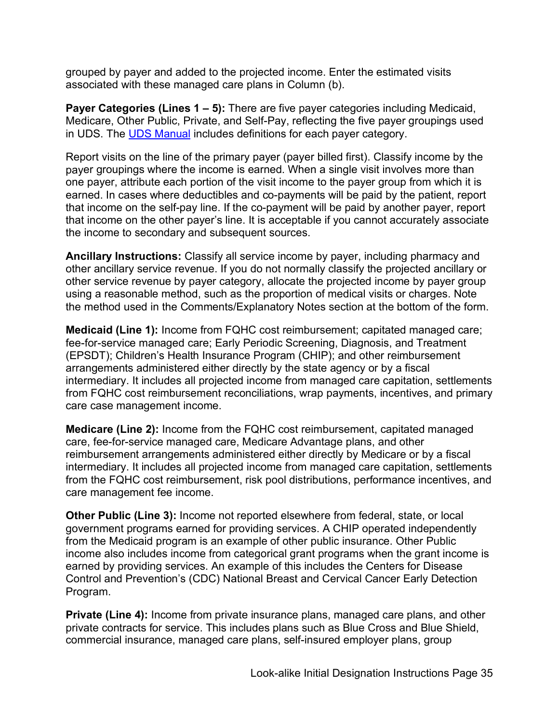grouped by payer and added to the projected income. Enter the estimated visits associated with these managed care plans in Column (b).

 Medicare, Other Public, Private, and Self-Pay, reflecting the five payer groupings used in UDS. The <u>UDS Manual</u> includes definitions for each payer category. **Payer Categories (Lines 1 – 5):** There are five payer categories including Medicaid,

 earned. In cases where deductibles and co-payments will be paid by the patient, report Report visits on the line of the primary payer (payer billed first). Classify income by the payer groupings where the income is earned. When a single visit involves more than one payer, attribute each portion of the visit income to the payer group from which it is that income on the self-pay line. If the co-payment will be paid by another payer, report that income on the other payer's line. It is acceptable if you cannot accurately associate the income to secondary and subsequent sources.

<span id="page-34-0"></span> other ancillary service revenue. If you do not normally classify the projected ancillary or using a reasonable method, such as the proportion of medical visits or charges. Note **Ancillary Instructions:** Classify all service income by payer, including pharmacy and other service revenue by payer category, allocate the projected income by payer group the method used in the Comments/Explanatory Notes section at the bottom of the form.

**Medicaid (Line 1):** Income from FQHC cost reimbursement; capitated managed care; fee-for-service managed care; Early Periodic Screening, Diagnosis, and Treatment (EPSDT); Children's Health Insurance Program (CHIP); and other reimbursement arrangements administered either directly by the state agency or by a fiscal intermediary. It includes all projected income from managed care capitation, settlements from FQHC cost reimbursement reconciliations, wrap payments, incentives, and primary care case management income.

 reimbursement arrangements administered either directly by Medicare or by a fiscal from the FQHC cost reimbursement, risk pool distributions, performance incentives, and **Medicare (Line 2):** Income from the FQHC cost reimbursement, capitated managed care, fee-for-service managed care, Medicare Advantage plans, and other intermediary. It includes all projected income from managed care capitation, settlements care management fee income.

 **Other Public (Line 3):** Income not reported elsewhere from federal, state, or local government programs earned for providing services. A CHIP operated independently from the Medicaid program is an example of other public insurance. Other Public income also includes income from categorical grant programs when the grant income is earned by providing services. An example of this includes the Centers for Disease Control and Prevention's (CDC) National Breast and Cervical Cancer Early Detection Program.

**Private (Line 4):** Income from private insurance plans, managed care plans, and other private contracts for service. This includes plans such as Blue Cross and Blue Shield, commercial insurance, managed care plans, self-insured employer plans, group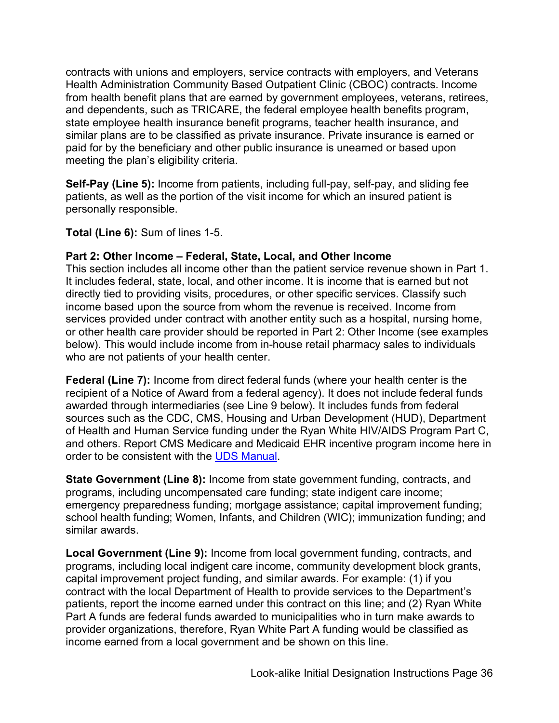and dependents, such as TRICARE, the federal employee health benefits program, contracts with unions and employers, service contracts with employers, and Veterans Health Administration Community Based Outpatient Clinic (CBOC) contracts. Income from health benefit plans that are earned by government employees, veterans, retirees, state employee health insurance benefit programs, teacher health insurance, and similar plans are to be classified as private insurance. Private insurance is earned or paid for by the beneficiary and other public insurance is unearned or based upon meeting the plan's eligibility criteria.

 **Self-Pay (Line 5):** Income from patients, including full-pay, self-pay, and sliding fee patients, as well as the portion of the visit income for which an insured patient is personally responsible.

**Total (Line 6):** Sum of lines 1-5.

#### **Part 2: Other Income – Federal, State, Local, and Other Income**

 or other health care provider should be reported in Part 2: Other Income (see examples This section includes all income other than the patient service revenue shown in Part 1. It includes federal, state, local, and other income. It is income that is earned but not directly tied to providing visits, procedures, or other specific services. Classify such income based upon the source from whom the revenue is received. Income from services provided under contract with another entity such as a hospital, nursing home, below). This would include income from in-house retail pharmacy sales to individuals who are not patients of your health center.

 **Federal (Line 7):** Income from direct federal funds (where your health center is the recipient of a Notice of Award from a federal agency). It does not include federal funds awarded through intermediaries (see Line 9 below). It includes funds from federal sources such as the CDC, CMS, Housing and Urban Development (HUD), Department of Health and Human Service funding under the Ryan White HIV/AIDS Program Part C, and others. Report CMS Medicare and Medicaid EHR incentive program income here in order to be consistent with the [UDS Manual.](http://bphc.hrsa.gov/datareporting/reporting/index.html)

 emergency preparedness funding; mortgage assistance; capital improvement funding; **State Government (Line 8):** Income from state government funding, contracts, and programs, including uncompensated care funding; state indigent care income; school health funding; Women, Infants, and Children (WIC); immunization funding; and similar awards.

**Local Government (Line 9):** Income from local government funding, contracts, and programs, including local indigent care income, community development block grants, capital improvement project funding, and similar awards. For example: (1) if you contract with the local Department of Health to provide services to the Department's patients, report the income earned under this contract on this line; and (2) Ryan White Part A funds are federal funds awarded to municipalities who in turn make awards to provider organizations, therefore, Ryan White Part A funding would be classified as income earned from a local government and be shown on this line.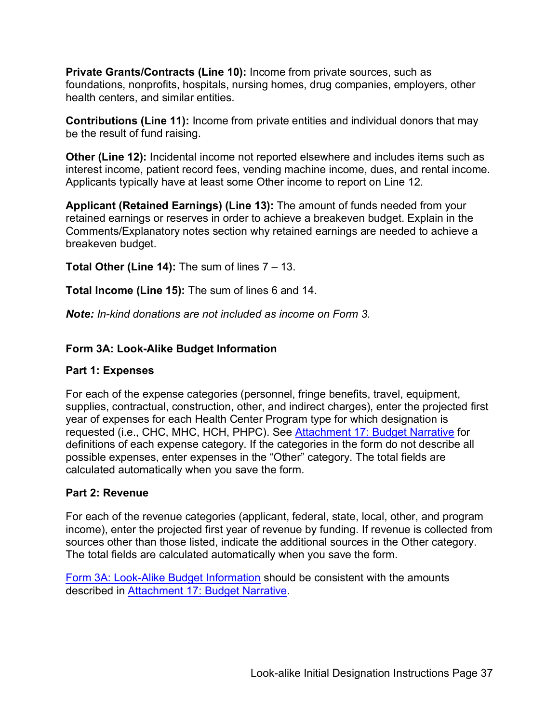foundations, nonprofits, hospitals, nursing homes, drug companies, employers, other **Private Grants/Contracts (Line 10):** Income from private sources, such as health centers, and similar entities.

 **Contributions (Line 11):** Income from private entities and individual donors that may be the result of fund raising.

 **Other (Line 12):** Incidental income not reported elsewhere and includes items such as Applicants typically have at least some Other income to report on Line 12. interest income, patient record fees, vending machine income, dues, and rental income.

 retained earnings or reserves in order to achieve a breakeven budget. Explain in the **Applicant (Retained Earnings) (Line 13):** The amount of funds needed from your Comments/Explanatory notes section why retained earnings are needed to achieve a breakeven budget.

**Total Other (Line 14):** The sum of lines 7 – 13.

**Total Income (Line 15):** The sum of lines 6 and 14.

<span id="page-36-0"></span>*Note: In-kind donations are not included as income on Form 3.* 

#### **Form 3A: Look-Alike Budget Information**

#### **Part 1: Expenses**

 calculated automatically when you save the form. For each of the expense categories (personnel, fringe benefits, travel, equipment, supplies, contractual, construction, other, and indirect charges), enter the projected first year of expenses for each Health Center Program type for which designation is requested (i.e., CHC, MHC, HCH, PHPC). See [Attachment 17: Budget Narrative](#page-27-1) for definitions of each expense category. If the categories in the form do not describe all possible expenses, enter expenses in the "Other" category. The total fields are

#### **Part 2: Revenue**

For each of the revenue categories (applicant, federal, state, local, other, and program income), enter the projected first year of revenue by funding. If revenue is collected from sources other than those listed, indicate the additional sources in the Other category. The total fields are calculated automatically when you save the form.

[Form 3A: Look-Alike Budget Information](#page-36-0) should be consistent with the amounts described in [Attachment 17: Budget Narrative.](#page-27-1)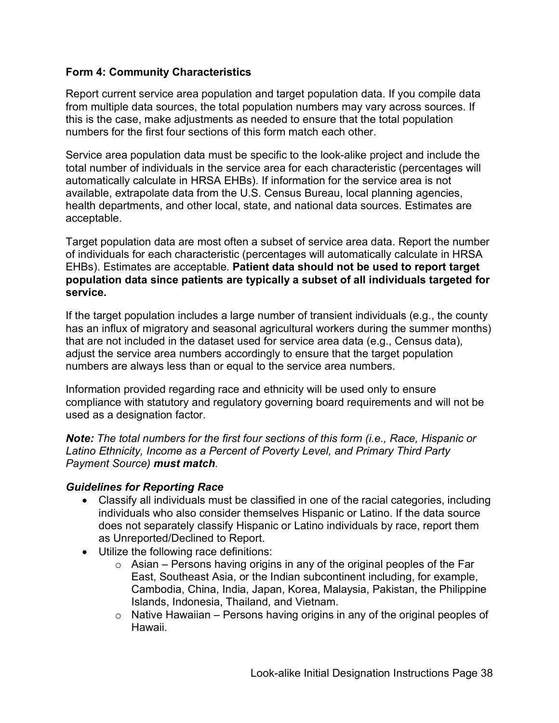#### <span id="page-37-0"></span>**Form 4: Community Characteristics**

 numbers for the first four sections of this form match each other. Report current service area population and target population data. If you compile data from multiple data sources, the total population numbers may vary across sources. If this is the case, make adjustments as needed to ensure that the total population

 Service area population data must be specific to the look-alike project and include the total number of individuals in the service area for each characteristic (percentages will automatically calculate in HRSA EHBs). If information for the service area is not available, extrapolate data from the U.S. Census Bureau, local planning agencies, health departments, and other local, state, and national data sources. Estimates are acceptable.

 Target population data are most often a subset of service area data. Report the number  **population data since patients are typically a subset of all individuals targeted for**  of individuals for each characteristic (percentages will automatically calculate in HRSA EHBs). Estimates are acceptable. **Patient data should not be used to report target service.** 

 has an influx of migratory and seasonal agricultural workers during the summer months) If the target population includes a large number of transient individuals (e.g., the county that are not included in the dataset used for service area data (e.g., Census data), adjust the service area numbers accordingly to ensure that the target population numbers are always less than or equal to the service area numbers.

Information provided regarding race and ethnicity will be used only to ensure compliance with statutory and regulatory governing board requirements and will not be used as a designation factor.

*Note: The total numbers for the first four sections of this form (i.e., Race, Hispanic or Latino Ethnicity, Income as a Percent of Poverty Level, and Primary Third Party Payment Source) must match.* 

#### *Guidelines for Reporting Race*

- does not separately classify Hispanic or Latino individuals by race, report them • Classify all individuals must be classified in one of the racial categories, including individuals who also consider themselves Hispanic or Latino. If the data source as Unreported/Declined to Report.
- Utilize the following race definitions:
	- $\circ$  Asian Persons having origins in any of the original peoples of the Far East, Southeast Asia, or the Indian subcontinent including, for example, Cambodia, China, India, Japan, Korea, Malaysia, Pakistan, the Philippine Islands, Indonesia, Thailand, and Vietnam.
	- Native Hawaiian Persons having origins in any of the original peoples of Hawaii.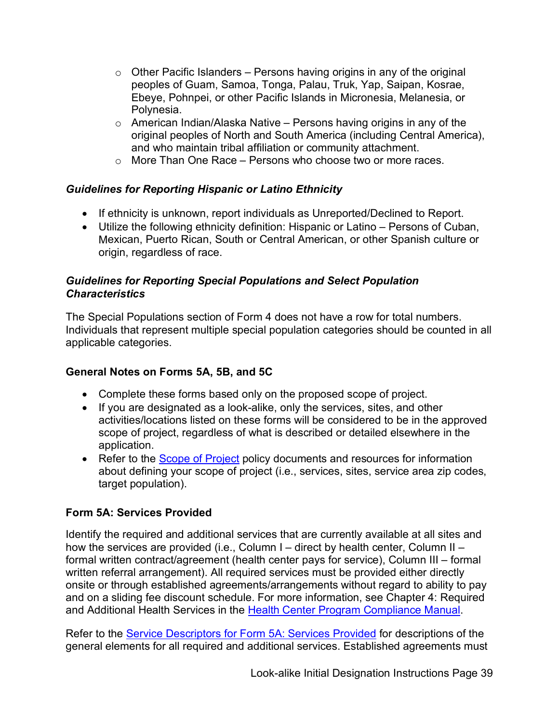- $\circ$  Other Pacific Islanders Persons having origins in any of the original peoples of Guam, Samoa, Tonga, Palau, Truk, Yap, Saipan, Kosrae, Ebeye, Pohnpei, or other Pacific Islands in Micronesia, Melanesia, or Polynesia.
- $\circ$  American Indian/Alaska Native Persons having origins in any of the original peoples of North and South America (including Central America), and who maintain tribal affiliation or community attachment.
- More Than One Race Persons who choose two or more races.

### *Guidelines for Reporting Hispanic or Latino Ethnicity*

- If ethnicity is unknown, report individuals as Unreported/Declined to Report.
- • Utilize the following ethnicity definition: Hispanic or Latino Persons of Cuban, Mexican, Puerto Rican, South or Central American, or other Spanish culture or origin, regardless of race.

#### *Guidelines for Reporting Special Populations and Select Population Characteristics*

The Special Populations section of Form 4 does not have a row for total numbers. Individuals that represent multiple special population categories should be counted in all applicable categories.

### **General Notes on Forms 5A, 5B, and 5C**

- Complete these forms based only on the proposed scope of project.
- • If you are designated as a look-alike, only the services, sites, and other activities/locations listed on these forms will be considered to be in the approved scope of project, regardless of what is described or detailed elsewhere in the application.
- Refer to the **Scope of Project** policy documents and resources for information about defining your scope of project (i.e., services, sites, service area zip codes, target population).

### <span id="page-38-0"></span>**Form 5A: Services Provided**

 how the services are provided (i.e., Column I – direct by health center, Column II – formal written contract/agreement (health center pays for service), Column III – formal and Additional Health Services in the <u>Health Center Program Compliance Manual</u>. Identify the required and additional services that are currently available at all sites and written referral arrangement). All required services must be provided either directly onsite or through established agreements/arrangements without regard to ability to pay and on a sliding fee discount schedule. For more information, see Chapter 4: Required

Refer to the <u>Service Descriptors for Form 5A: Services Provided</u> for descriptions of the general elements for all required and additional services. Established agreements must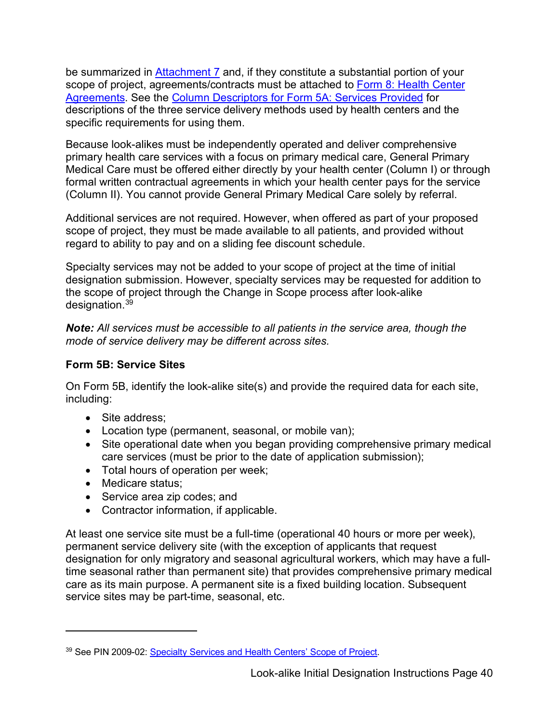be summarized in <u>Attachment 7</u> and, if they constitute a substantial portion of your A<u>greements</u>. See the <u>Column Descriptors for Form 5A: Services Provided</u> for descriptions of the three service delivery methods used by health centers and the scope of project, agreements/contracts must be attached to Form 8: Health Center specific requirements for using them.

 Because look-alikes must be independently operated and deliver comprehensive Medical Care must be offered either directly by your health center (Column I) or through primary health care services with a focus on primary medical care, General Primary formal written contractual agreements in which your health center pays for the service (Column II). You cannot provide General Primary Medical Care solely by referral.

 Additional services are not required. However, when offered as part of your proposed scope of project, they must be made available to all patients, and provided without regard to ability to pay and on a sliding fee discount schedule.

 designation submission. However, specialty services may be requested for addition to Specialty services may not be added to your scope of project at the time of initial the scope of project through the Change in Scope process after look-alike designation[.39](#page-39-1) 

 *mode of service delivery may be different across sites. Note: All services must be accessible to all patients in the service area, though the* 

#### <span id="page-39-0"></span>**Form 5B: Service Sites**

 On Form 5B, identify the look-alike site(s) and provide the required data for each site, including:

- Site address;
- Location type (permanent, seasonal, or mobile van);
- care services (must be prior to the date of application submission); • Site operational date when you began providing comprehensive primary medical
- Total hours of operation per week;
- Medicare status;
- Service area zip codes; and
- Contractor information, if applicable.

 designation for only migratory and seasonal agricultural workers, which may have a full- care as its main purpose. A permanent site is a fixed building location. Subsequent At least one service site must be a full-time (operational 40 hours or more per week), permanent service delivery site (with the exception of applicants that request time seasonal rather than permanent site) that provides comprehensive primary medical service sites may be part-time, seasonal, etc.

<span id="page-39-1"></span><sup>39</sup> See PIN 2009-02: [Specialty Services and Health Centers' Scope of Project.](http://bphc.hrsa.gov/programrequirements/policies/pin200902purpose.html)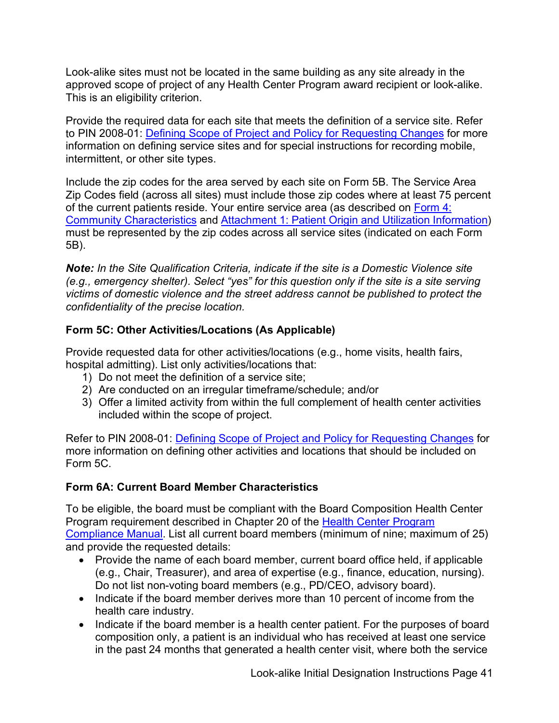Look-alike sites must not be located in the same building as any site already in the approved scope of project of any Health Center Program award recipient or look-alike. This is an eligibility criterion.

Provide the required data for each site that meets the definition of a service site. Refer to PIN 2008-01: [Defining Scope of Project and Policy for Requesting Changes](http://bphc.hrsa.gov/programrequirements/pdf/pin2008-01.pdf) for more information on defining service sites and for special instructions for recording mobile, intermittent, or other site types.

 Include the zip codes for the area served by each site on Form 5B. The Service Area must be represented by the zip codes across all service sites (indicated on each Form Zip Codes field (across all sites) must include those zip codes where at least 75 percent of the current patients reside. Your entire service area (as described on [Form 4:](#page-37-0)  [Community Characteristics](#page-37-0) and [Attachment 1: Patient Origin and Utilization Information\)](#page-21-1) 5B).

*Note: In the Site Qualification Criteria, indicate if the site is a Domestic Violence site (e.g., emergency shelter). Select "yes" for this question only if the site is a site serving victims of domestic violence and the street address cannot be published to protect the confidentiality of the precise location.* 

### <span id="page-40-1"></span>**Form 5C: Other Activities/Locations (As Applicable)**

hospital admitting). List only activities/locations that: Provide requested data for other activities/locations (e.g., home visits, health fairs,

- 1) Do not meet the definition of a service site:
- 2) Are conducted on an irregular timeframe/schedule; and/or
- 3) Offer a limited activity from within the full complement of health center activities included within the scope of project.

Refer to PIN 2008-01: [Defining Scope of Project and Policy for Requesting Changes](http://bphc.hrsa.gov/programrequirements/pdf/pin2008-01.pdf) for more information on defining other activities and locations that should be included on Form 5C.

### <span id="page-40-0"></span>**Form 6A: Current Board Member Characteristics**

To be eligible, the board must be compliant with the Board Composition Health Center Program requirement described in Chapter 20 of the [Health Center Program](https://bphc.hrsa.gov/programrequirements/compliancemanual/introduction.html)  [Compliance Manual.](https://bphc.hrsa.gov/programrequirements/compliancemanual/introduction.html) List all current board members (minimum of nine; maximum of 25) and provide the requested details:

- Provide the name of each board member, current board office held, if applicable (e.g., Chair, Treasurer), and area of expertise (e.g., finance, education, nursing). Do not list non-voting board members (e.g., PD/CEO, advisory board).
- Indicate if the board member derives more than 10 percent of income from the health care industry.
- Indicate if the board member is a health center patient. For the purposes of board composition only, a patient is an individual who has received at least one service in the past 24 months that generated a health center visit, where both the service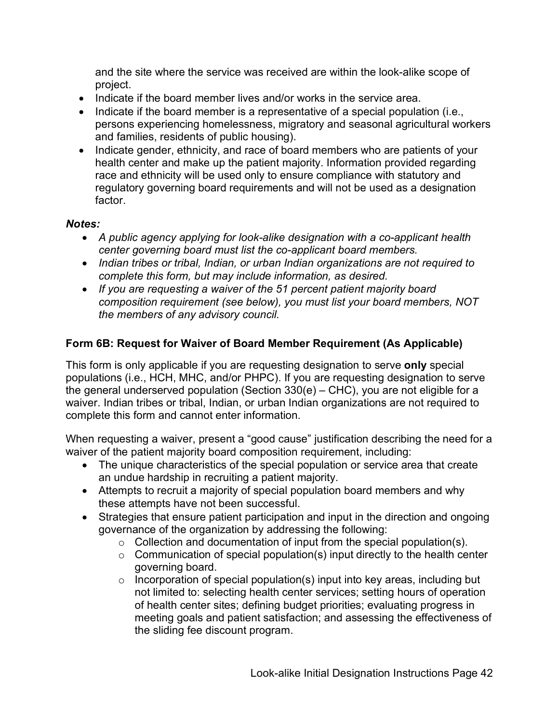and the site where the service was received are within the look-alike scope of project.

- Indicate if the board member lives and/or works in the service area.
- Indicate if the board member is a representative of a special population (i.e., persons experiencing homelessness, migratory and seasonal agricultural workers and families, residents of public housing).
- • Indicate gender, ethnicity, and race of board members who are patients of your health center and make up the patient majority. Information provided regarding race and ethnicity will be used only to ensure compliance with statutory and regulatory governing board requirements and will not be used as a designation factor.

#### *Notes:*

- *A public agency applying for look-alike designation with a co-applicant health center governing board must list the co-applicant board members.*
- *Indian tribes or tribal, Indian, or urban Indian organizations are not required to complete this form, but may include information, as desired.*
- *If you are requesting a waiver of the 51 percent patient majority board the members of any advisory council. composition requirement (see below), you must list your board members, NOT*

#### <span id="page-41-0"></span>**Form 6B: Request for Waiver of Board Member Requirement (As Applicable)**

 populations (i.e., HCH, MHC, and/or PHPC). If you are requesting designation to serve This form is only applicable if you are requesting designation to serve **only** special the general underserved population (Section 330(e) – CHC), you are not eligible for a waiver. Indian tribes or tribal, Indian, or urban Indian organizations are not required to complete this form and cannot enter information.

When requesting a waiver, present a "good cause" justification describing the need for a waiver of the patient majority board composition requirement, including:

- The unique characteristics of the special population or service area that create an undue hardship in recruiting a patient majority.
- Attempts to recruit a majority of special population board members and why these attempts have not been successful.
- Strategies that ensure patient participation and input in the direction and ongoing governance of the organization by addressing the following:
	- Collection and documentation of input from the special population(s).
	- $\circ$  Communication of special population(s) input directly to the health center governing board.
	- meeting goals and patient satisfaction; and assessing the effectiveness of ◦ Incorporation of special population(s) input into key areas, including but not limited to: selecting health center services; setting hours of operation of health center sites; defining budget priorities; evaluating progress in the sliding fee discount program.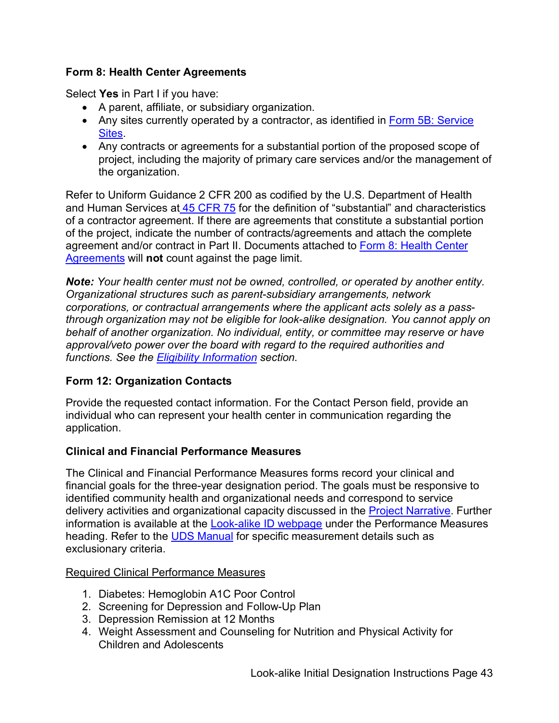#### <span id="page-42-1"></span>**Form 8: Health Center Agreements**

Select **Yes** in Part I if you have:

- A parent, affiliate, or subsidiary organization.
- Any sites currently operated by a contractor, as identified in Form 5B: Service [Sites.](#page-39-0)
- • Any contracts or agreements for a substantial portion of the proposed scope of project, including the majority of primary care services and/or the management of the organization.

and Human Services at <u>45 CFR 75</u> for the definition of "substantial" and characteristics agreement and/or contract in Part II. Documents attached to <u>Form 8: Health Center</u> Refer to Uniform Guidance 2 CFR 200 as codified by the U.S. Department of Health of a contractor agreement. If there are agreements that constitute a substantial portion of the project, indicate the number of contracts/agreements and attach the complete [Agreements](#page-42-1) will **not** count against the page limit.

 *Note: Your health center must not be owned, controlled, or operated by another entity. functions. See the [Eligibility Information](#page-7-0) section. Organizational structures such as parent-subsidiary arrangements, network corporations, or contractual arrangements where the applicant acts solely as a passthrough organization may not be eligible for look-alike designation. You cannot apply on behalf of another organization. No individual, entity, or committee may reserve or have approval/veto power over the board with regard to the required authorities and* 

### **Form 12: Organization Contacts**

Provide the requested contact information. For the Contact Person field, provide an individual who can represent your health center in communication regarding the application.

#### <span id="page-42-0"></span>**Clinical and Financial Performance Measures**

delivery activities and organizational capacity discussed in the <u>Project Narrative</u>. Further The Clinical and Financial Performance Measures forms record your clinical and financial goals for the three-year designation period. The goals must be responsive to identified community health and organizational needs and correspond to service information is available at the [Look-alike ID webpage](http://bphc.hrsa.gov/programopportunities/lookalike/initialdesignationinstructions.html) under the Performance Measures heading. Refer to the [UDS Manual](http://bphc.hrsa.gov/datareporting/reporting/index.html) for specific measurement details such as exclusionary criteria.

#### Required Clinical Performance Measures

- 1. Diabetes: Hemoglobin A1C Poor Control
- 2. Screening for Depression and Follow-Up Plan
- 3. Depression Remission at 12 Months
- 4. Weight Assessment and Counseling for Nutrition and Physical Activity for Children and Adolescents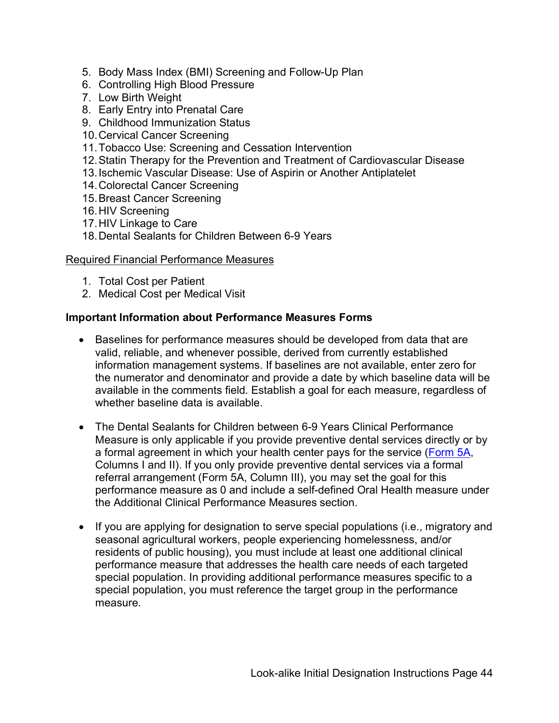- 5. Body Mass Index (BMI) Screening and Follow-Up Plan
- 6. Controlling High Blood Pressure
- 7. Low Birth Weight
- 8. Early Entry into Prenatal Care
- 9. Childhood Immunization Status
- 10.Cervical Cancer Screening
- 11.Tobacco Use: Screening and Cessation Intervention
- 12.Statin Therapy for the Prevention and Treatment of Cardiovascular Disease
- 13.Ischemic Vascular Disease: Use of Aspirin or Another Antiplatelet
- 14.Colorectal Cancer Screening
- 15.Breast Cancer Screening
- 16.HIV Screening
- 17.HIV Linkage to Care
- 18.Dental Sealants for Children Between 6-9 Years

#### Required Financial Performance Measures

- 1. Total Cost per Patient
- 2. Medical Cost per Medical Visit

#### **Important Information about Performance Measures Forms**

- valid, reliable, and whenever possible, derived from currently established available in the comments field. Establish a goal for each measure, regardless of • Baselines for performance measures should be developed from data that are information management systems. If baselines are not available, enter zero for the numerator and denominator and provide a date by which baseline data will be whether baseline data is available.
- Measure is only applicable if you provide preventive dental services directly or by referral arrangement (Form 5A, Column III), you may set the goal for this performance measure as 0 and include a self-defined Oral Health measure under • The Dental Sealants for Children between 6-9 Years Clinical Performance a formal agreement in which your health center pays for the service [\(Form 5A,](#page-38-0) Columns I and II). If you only provide preventive dental services via a formal the Additional Clinical Performance Measures section.
- • If you are applying for designation to serve special populations (i.e., migratory and seasonal agricultural workers, people experiencing homelessness, and/or residents of public housing), you must include at least one additional clinical performance measure that addresses the health care needs of each targeted special population. In providing additional performance measures specific to a special population, you must reference the target group in the performance measure.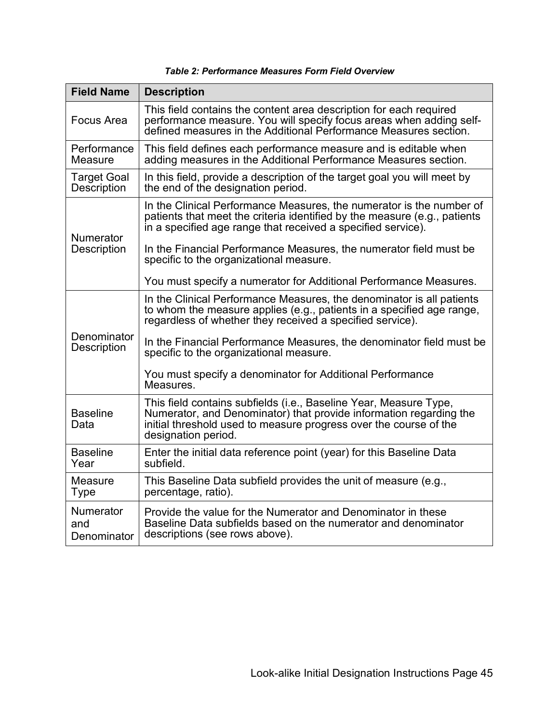| <b>Field Name</b>                                                                                                                                             | <b>Description</b>                                                                                                                                                                                                                  |  |
|---------------------------------------------------------------------------------------------------------------------------------------------------------------|-------------------------------------------------------------------------------------------------------------------------------------------------------------------------------------------------------------------------------------|--|
| <b>Focus Area</b>                                                                                                                                             | This field contains the content area description for each required<br>performance measure. You will specify focus areas when adding self-<br>defined measures in the Additional Performance Measures section.                       |  |
| Performance<br>This field defines each performance measure and is editable when<br>adding measures in the Additional Performance Measures section.<br>Measure |                                                                                                                                                                                                                                     |  |
| <b>Target Goal</b><br><b>Description</b>                                                                                                                      | In this field, provide a description of the target goal you will meet by<br>the end of the designation period.                                                                                                                      |  |
| <b>Numerator</b><br><b>Description</b>                                                                                                                        | In the Clinical Performance Measures, the numerator is the number of<br>patients that meet the criteria identified by the measure (e.g., patients<br>in a specified age range that received a specified service).                   |  |
|                                                                                                                                                               | In the Financial Performance Measures, the numerator field must be<br>specific to the organizational measure.                                                                                                                       |  |
|                                                                                                                                                               | You must specify a numerator for Additional Performance Measures.                                                                                                                                                                   |  |
| Denominator<br><b>Description</b>                                                                                                                             | In the Clinical Performance Measures, the denominator is all patients<br>to whom the measure applies (e.g., patients in a specified age range,<br>regardless of whether they received a specified service).                         |  |
|                                                                                                                                                               | In the Financial Performance Measures, the denominator field must be<br>specific to the organizational measure.                                                                                                                     |  |
|                                                                                                                                                               | You must specify a denominator for Additional Performance<br>Measures.                                                                                                                                                              |  |
| <b>Baseline</b><br>Data                                                                                                                                       | This field contains subfields (i.e., Baseline Year, Measure Type,<br>Numerator, and Denominator) that provide information regarding the<br>initial threshold used to measure progress over the course of the<br>designation period. |  |
| <b>Baseline</b><br>Enter the initial data reference point (year) for this Baseline Data<br>Year<br>subfield.                                                  |                                                                                                                                                                                                                                     |  |
| <b>Measure</b><br><b>Type</b>                                                                                                                                 | This Baseline Data subfield provides the unit of measure (e.g.,<br>percentage, ratio).                                                                                                                                              |  |
| <b>Numerator</b><br>and<br>Denominator                                                                                                                        | Provide the value for the Numerator and Denominator in these<br>Baseline Data subfields based on the numerator and denominator<br>descriptions (see rows above).                                                                    |  |

#### *Table 2: Performance Measures Form Field Overview*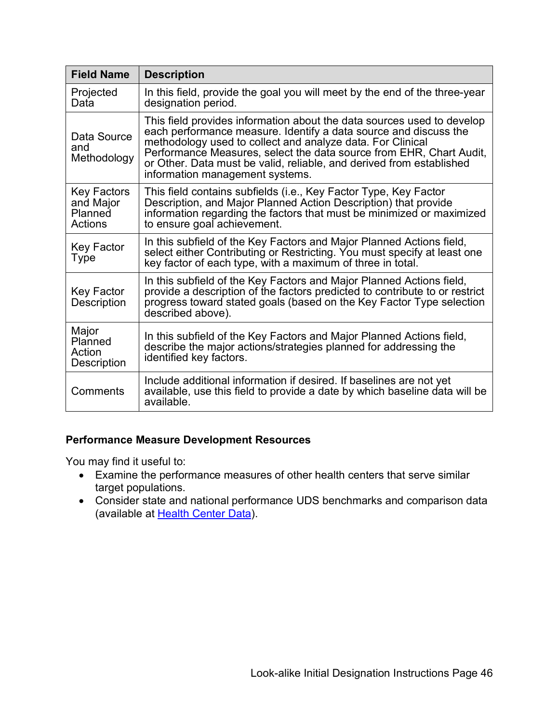| <b>Field Name</b>                                | <b>Description</b>                                                                                                                                                                                                                                                                                                                                                                         |
|--------------------------------------------------|--------------------------------------------------------------------------------------------------------------------------------------------------------------------------------------------------------------------------------------------------------------------------------------------------------------------------------------------------------------------------------------------|
| Projected<br>Data                                | In this field, provide the goal you will meet by the end of the three-year<br>designation period.                                                                                                                                                                                                                                                                                          |
| Data Source<br>and<br>Methodology                | This field provides information about the data sources used to develop<br>each performance measure. Identify a data source and discuss the<br>methodology used to collect and analyze data. For Clinical<br>Performance Measures, select the data source from EHR, Chart Audit,<br>or Other. Data must be valid, reliable, and derived from established<br>information management systems. |
| Key Factors<br>and Major<br>Planned<br>Actions   | This field contains subfields (i.e., Key Factor Type, Key Factor<br>Description, and Major Planned Action Description) that provide<br>information regarding the factors that must be minimized or maximized<br>to ensure goal achievement.                                                                                                                                                |
| Key Factor<br>Type                               | In this subfield of the Key Factors and Major Planned Actions field,<br>select either Contributing or Restricting. You must specify at least one<br>key factor of each type, with a maximum of three in total.                                                                                                                                                                             |
| Key Factor<br><b>Description</b>                 | In this subfield of the Key Factors and Major Planned Actions field,<br>provide a description of the factors predicted to contribute to or restrict<br>progress toward stated goals (based on the Key Factor Type selection<br>described above).                                                                                                                                           |
| Major<br>Planned<br>Action<br><b>Description</b> | In this subfield of the Key Factors and Major Planned Actions field,<br>describe the major actions/strategies planned for addressing the<br>identified key factors.                                                                                                                                                                                                                        |
| Comments                                         | Include additional information if desired. If baselines are not yet<br>available, use this field to provide a date by which baseline data will be<br>available.                                                                                                                                                                                                                            |

#### **Performance Measure Development Resources**

You may find it useful to:

- • Examine the performance measures of other health centers that serve similar target populations.
- Consider state and national performance UDS benchmarks and comparison data (available at [Health Center Data\)](http://bphc.hrsa.gov/uds/datacomparisons.aspx).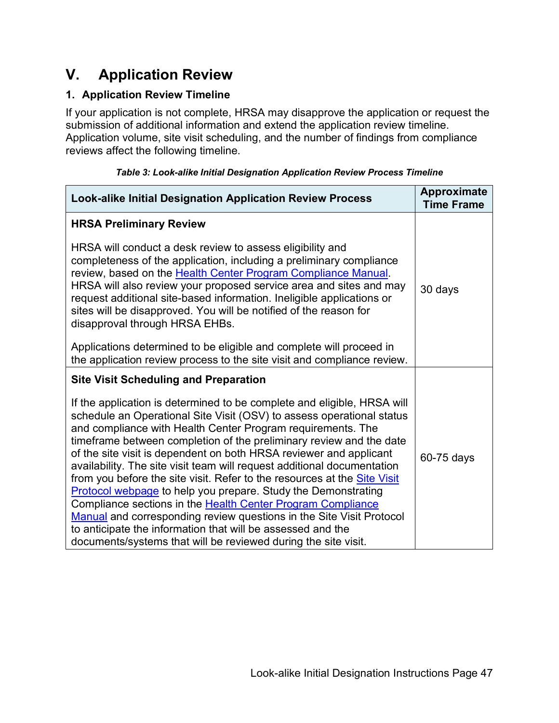## <span id="page-46-0"></span> **V. Application Review**

### <span id="page-46-2"></span>**1. Application Review Timeline**

If your application is not complete, HRSA may disapprove the application or request the submission of additional information and extend the application review timeline. Application volume, site visit scheduling, and the number of findings from compliance reviews affect the following timeline.

<span id="page-46-1"></span>

| <b>Look-alike Initial Designation Application Review Process</b>                                                                                                                                                                                                                                                                                                                                                                                                                                                                                                                                                                                                                                                                                                                                                                                             | <b>Approximate</b><br><b>Time Frame</b> |
|--------------------------------------------------------------------------------------------------------------------------------------------------------------------------------------------------------------------------------------------------------------------------------------------------------------------------------------------------------------------------------------------------------------------------------------------------------------------------------------------------------------------------------------------------------------------------------------------------------------------------------------------------------------------------------------------------------------------------------------------------------------------------------------------------------------------------------------------------------------|-----------------------------------------|
| <b>HRSA Preliminary Review</b>                                                                                                                                                                                                                                                                                                                                                                                                                                                                                                                                                                                                                                                                                                                                                                                                                               |                                         |
| HRSA will conduct a desk review to assess eligibility and<br>completeness of the application, including a preliminary compliance<br>review, based on the Health Center Program Compliance Manual.<br>HRSA will also review your proposed service area and sites and may<br>request additional site-based information. Ineligible applications or<br>sites will be disapproved. You will be notified of the reason for<br>disapproval through HRSA EHBs.                                                                                                                                                                                                                                                                                                                                                                                                      | 30 days                                 |
| Applications determined to be eligible and complete will proceed in<br>the application review process to the site visit and compliance review.                                                                                                                                                                                                                                                                                                                                                                                                                                                                                                                                                                                                                                                                                                               |                                         |
| <b>Site Visit Scheduling and Preparation</b>                                                                                                                                                                                                                                                                                                                                                                                                                                                                                                                                                                                                                                                                                                                                                                                                                 |                                         |
| If the application is determined to be complete and eligible, HRSA will<br>schedule an Operational Site Visit (OSV) to assess operational status<br>and compliance with Health Center Program requirements. The<br>timeframe between completion of the preliminary review and the date<br>of the site visit is dependent on both HRSA reviewer and applicant<br>availability. The site visit team will request additional documentation<br>from you before the site visit. Refer to the resources at the Site Visit<br>Protocol webpage to help you prepare. Study the Demonstrating<br>Compliance sections in the Health Center Program Compliance<br>Manual and corresponding review questions in the Site Visit Protocol<br>to anticipate the information that will be assessed and the<br>documents/systems that will be reviewed during the site visit. | 60-75 days                              |

|  | Table 3: Look-alike Initial Designation Application Review Process Timeline |  |
|--|-----------------------------------------------------------------------------|--|
|  |                                                                             |  |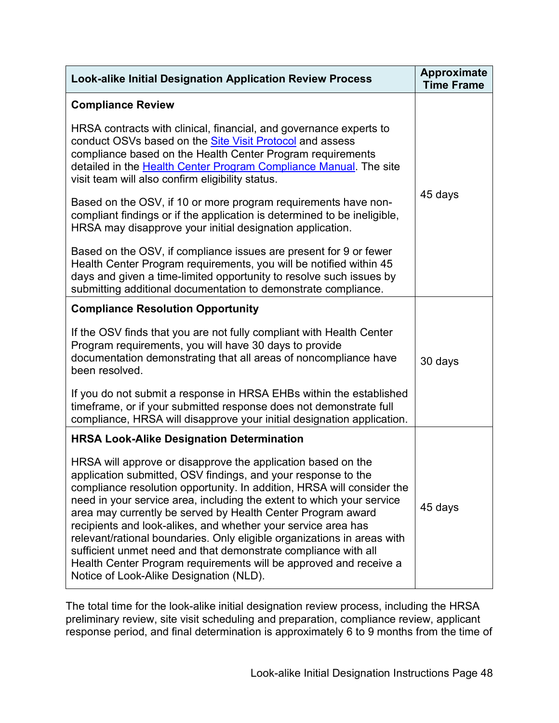| <b>Look-alike Initial Designation Application Review Process</b>                                                                                                                                                                                                                                                                                                                                                                                                                                                                                                                                                                                                              | Approximate<br><b>Time Frame</b> |
|-------------------------------------------------------------------------------------------------------------------------------------------------------------------------------------------------------------------------------------------------------------------------------------------------------------------------------------------------------------------------------------------------------------------------------------------------------------------------------------------------------------------------------------------------------------------------------------------------------------------------------------------------------------------------------|----------------------------------|
| <b>Compliance Review</b>                                                                                                                                                                                                                                                                                                                                                                                                                                                                                                                                                                                                                                                      |                                  |
| HRSA contracts with clinical, financial, and governance experts to<br>conduct OSVs based on the <b>Site Visit Protocol</b> and assess<br>compliance based on the Health Center Program requirements<br>detailed in the Health Center Program Compliance Manual. The site<br>visit team will also confirm eligibility status.                                                                                                                                                                                                                                                                                                                                                  |                                  |
| Based on the OSV, if 10 or more program requirements have non-<br>compliant findings or if the application is determined to be ineligible,<br>HRSA may disapprove your initial designation application.                                                                                                                                                                                                                                                                                                                                                                                                                                                                       | 45 days                          |
| Based on the OSV, if compliance issues are present for 9 or fewer<br>Health Center Program requirements, you will be notified within 45<br>days and given a time-limited opportunity to resolve such issues by<br>submitting additional documentation to demonstrate compliance.                                                                                                                                                                                                                                                                                                                                                                                              |                                  |
| <b>Compliance Resolution Opportunity</b>                                                                                                                                                                                                                                                                                                                                                                                                                                                                                                                                                                                                                                      |                                  |
| If the OSV finds that you are not fully compliant with Health Center<br>Program requirements, you will have 30 days to provide<br>documentation demonstrating that all areas of noncompliance have<br>been resolved.                                                                                                                                                                                                                                                                                                                                                                                                                                                          | 30 days                          |
| If you do not submit a response in HRSA EHBs within the established<br>timeframe, or if your submitted response does not demonstrate full<br>compliance, HRSA will disapprove your initial designation application.                                                                                                                                                                                                                                                                                                                                                                                                                                                           |                                  |
| <b>HRSA Look-Alike Designation Determination</b>                                                                                                                                                                                                                                                                                                                                                                                                                                                                                                                                                                                                                              |                                  |
| HRSA will approve or disapprove the application based on the<br>application submitted, OSV findings, and your response to the<br>compliance resolution opportunity. In addition, HRSA will consider the<br>need in your service area, including the extent to which your service<br>area may currently be served by Health Center Program award<br>recipients and look-alikes, and whether your service area has<br>relevant/rational boundaries. Only eligible organizations in areas with<br>sufficient unmet need and that demonstrate compliance with all<br>Health Center Program requirements will be approved and receive a<br>Notice of Look-Alike Designation (NLD). | 45 days                          |

 response period, and final determination is approximately 6 to 9 months from the time of The total time for the look-alike initial designation review process, including the HRSA preliminary review, site visit scheduling and preparation, compliance review, applicant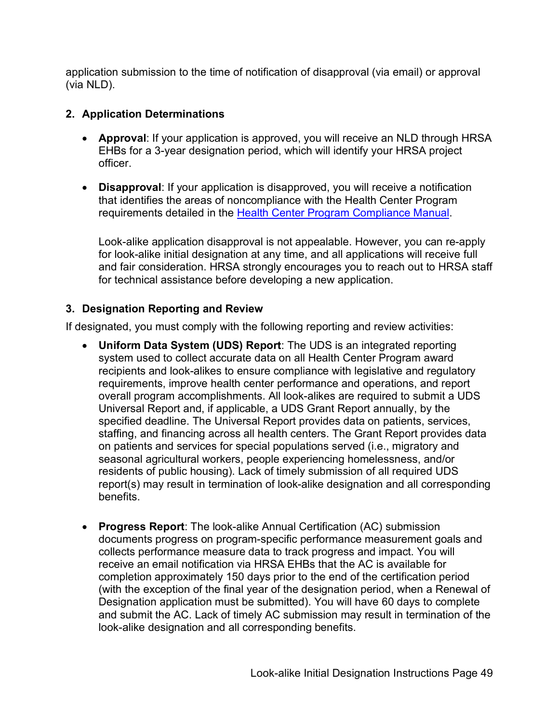application submission to the time of notification of disapproval (via email) or approval (via NLD).

#### <span id="page-48-0"></span> **2. Application Determinations**

- • **Approval**: If your application is approved, you will receive an NLD through HRSA EHBs for a 3-year designation period, which will identify your HRSA project officer.
- • **Disapproval**: If your application is disapproved, you will receive a notification requirements detailed in the <u>Health Center Program Compliance Manual</u>. that identifies the areas of noncompliance with the Health Center Program

 for technical assistance before developing a new application. Look-alike application disapproval is not appealable. However, you can re-apply for look-alike initial designation at any time, and all applications will receive full and fair consideration. HRSA strongly encourages you to reach out to HRSA staff

### <span id="page-48-1"></span> **3. Designation Reporting and Review**

If designated, you must comply with the following reporting and review activities:

- **Uniform Data System (UDS) Report**: The UDS is an integrated reporting system used to collect accurate data on all Health Center Program award recipients and look-alikes to ensure compliance with legislative and regulatory requirements, improve health center performance and operations, and report overall program accomplishments. All look-alikes are required to submit a UDS Universal Report and, if applicable, a UDS Grant Report annually, by the specified deadline. The Universal Report provides data on patients, services, staffing, and financing across all health centers. The Grant Report provides data on patients and services for special populations served (i.e., migratory and seasonal agricultural workers, people experiencing homelessness, and/or residents of public housing). Lack of timely submission of all required UDS report(s) may result in termination of look-alike designation and all corresponding benefits.
- **Progress Report**: The look-alike Annual Certification (AC) submission documents progress on program-specific performance measurement goals and collects performance measure data to track progress and impact. You will receive an email notification via HRSA EHBs that the AC is available for completion approximately 150 days prior to the end of the certification period (with the exception of the final year of the designation period, when a Renewal of Designation application must be submitted). You will have 60 days to complete and submit the AC. Lack of timely AC submission may result in termination of the look-alike designation and all corresponding benefits.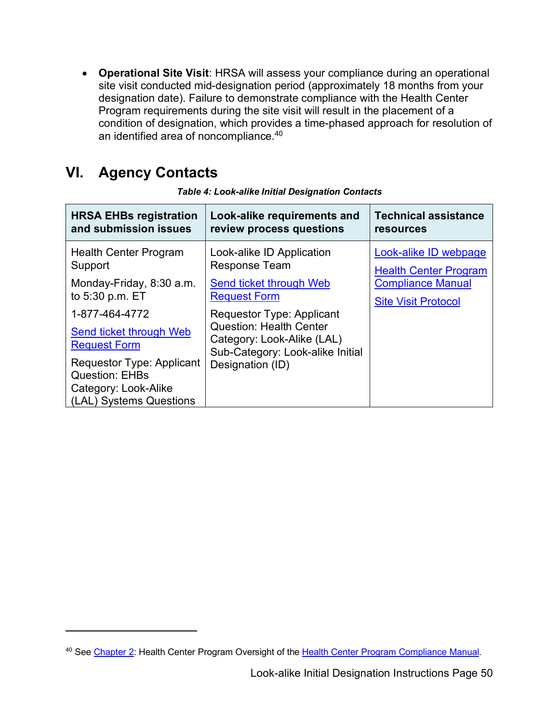• **Operational Site Visit**: HRSA will assess your compliance during an operational site visit conducted mid-designation period (approximately 18 months from your designation date). Failure to demonstrate compliance with the Health Center Program requirements during the site visit will result in the placement of a condition of designation, which provides a time-phased approach for resolution of an identified area of noncompliance. [40](#page-49-1) 

#### <span id="page-49-0"></span>**VI. VI. Agency Contacts**

| <b>HRSA EHBs registration</b><br>and submission issues                                                                                                                                                                                                                            | Look-alike requirements and<br>review process questions                                                                                                                                                                                                         | <b>Technical assistance</b><br>resources                                                                        |
|-----------------------------------------------------------------------------------------------------------------------------------------------------------------------------------------------------------------------------------------------------------------------------------|-----------------------------------------------------------------------------------------------------------------------------------------------------------------------------------------------------------------------------------------------------------------|-----------------------------------------------------------------------------------------------------------------|
| <b>Health Center Program</b><br>Support<br>Monday-Friday, 8:30 a.m.<br>to 5:30 p.m. ET<br>1-877-464-4772<br><b>Send ticket through Web</b><br><b>Request Form</b><br><b>Requestor Type: Applicant</b><br><b>Question: EHBs</b><br>Category: Look-Alike<br>(LAL) Systems Questions | Look-alike ID Application<br><b>Response Team</b><br>Send ticket through Web<br><b>Request Form</b><br><b>Requestor Type: Applicant</b><br><b>Question: Health Center</b><br>Category: Look-Alike (LAL)<br>Sub-Category: Look-alike Initial<br>Designation (ID) | Look-alike ID webpage<br><b>Health Center Program</b><br><b>Compliance Manual</b><br><b>Site Visit Protocol</b> |
|                                                                                                                                                                                                                                                                                   |                                                                                                                                                                                                                                                                 |                                                                                                                 |
|                                                                                                                                                                                                                                                                                   |                                                                                                                                                                                                                                                                 |                                                                                                                 |
| <sup>40</sup> See Chapter 2: Health Center Program Oversight of the Health Center Program Compliance Manual.<br>Look-alike Initial Designation Instructions Page 50                                                                                                               |                                                                                                                                                                                                                                                                 |                                                                                                                 |

 *Table 4: Look-alike Initial Designation Contacts* 

<span id="page-49-1"></span><sup>&</sup>lt;sup>40</sup> See [Chapter 2:](https://bphc.hrsa.gov/programrequirements/compliancemanual/chapter-2.html) Health Center Program Oversight of the Health Center Program Compliance Manual.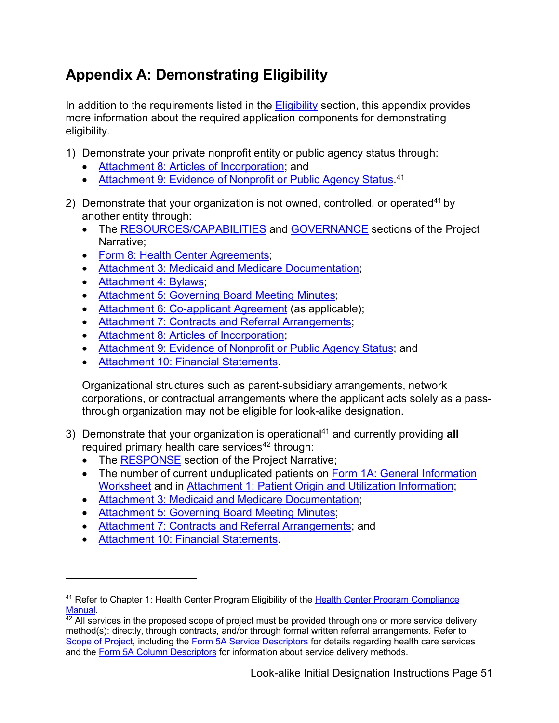# <span id="page-50-0"></span>**Appendix A: Demonstrating Eligibility**

In addition to the requirements listed in the **Eligibility** section, this appendix provides more information about the required application components for demonstrating eligibility.

- <span id="page-50-1"></span>1) Demonstrate your private nonprofit entity or public agency status through:
	- [Attachment 8: Articles of Incorporation;](#page-24-0) and
	- [Attachment 9: Evidence of Nonprofit or Public Agency Status.](#page-24-1)<sup>[41](#page-50-2)</sup>
- 2) Demonstrate that your organization is not owned, controlled, or operated<sup>41</sup> by another entity through:
	- The [RESOURCES/CAPABILITIES](#page-17-0) and [GOVERNANCE](#page-19-0) sections of the Project Narrative;
	- [Form 8: Health Center Agreements;](#page-42-1)
	- [Attachment 3: Medicaid and Medicare Documentation;](#page-23-3)
	- Attachment 4: Bylaws:
	- [Attachment 5: Governing Board Meeting Minutes;](#page-23-4)
	- [Attachment 6: Co-applicant Agreement](#page-23-2) (as applicable);
	- [Attachment 7: Contracts and Referral Arrangements;](#page-23-0)
	- [Attachment 8: Articles of Incorporation;](#page-24-0)
	- [Attachment 9: Evidence of Nonprofit or Public Agency Status;](#page-24-1) and
	- [Attachment 10: Financial Statements.](#page-25-1)

Organizational structures such as parent-subsidiary arrangements, network corporations, or contractual arrangements where the applicant acts solely as a passthrough organization may not be eligible for look-alike designation.

- 3) Demonstrate that your organization is operational<sup>41</sup> and currently providing all required primary health care services $42$  through:
	- The [RESPONSE](#page-12-0) section of the Project Narrative;
	- The number of current unduplicated patients on Form 1A: General Information [Worksheet](#page-28-1) and in [Attachment 1: Patient Origin and Utilization Information;](#page-21-1)
	- [Attachment 3: Medicaid and Medicare Documentation;](#page-23-3)
	- [Attachment 5: Governing Board Meeting Minutes;](#page-23-4)
	- [Attachment 7: Contracts and Referral Arrangements;](#page-23-0) and
	- [Attachment 10: Financial Statements.](#page-25-3)

<span id="page-50-2"></span><sup>&</sup>lt;sup>41</sup> Refer to Chapter 1: Health Center Program Eligibility of the Health Center Program Compliance [Manual.](https://bphc.hrsa.gov/programrequirements/Compliancemanual/index.html)<br><sup>42</sup> All services in the proposed scope of project must be provided through one or more service delivery

<span id="page-50-3"></span>method(s): directly, through contracts, and/or through formal written referral arrangements. Refer to [Scope of Project,](http://bphc.hrsa.gov/programrequirements/scope.html) including the [Form 5A Service Descriptors](https://bphc.hrsa.gov/sites/default/files/bphc/programrequirements/scope/form5aservicedescriptors.pdf) for details regarding health care services and the [Form 5A Column Descriptors](https://bphc.hrsa.gov/sites/default/files/bphc/programrequirements/scope/form5acolumndescriptors.pdf) for information about service delivery methods.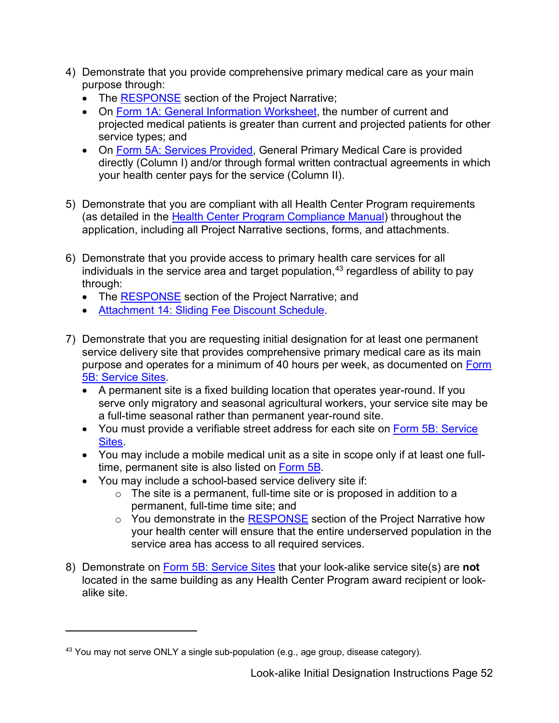- 4) Demonstrate that you provide comprehensive primary medical care as your main purpose through:
	- The [RESPONSE](#page-12-0) section of the Project Narrative;
	- service types; and • On [Form 1A: General Information Worksheet,](#page-28-1) the number of current and projected medical patients is greater than current and projected patients for other
	- On [Form 5A: Services Provided,](#page-38-0) General Primary Medical Care is provided directly (Column I) and/or through formal written contractual agreements in which your health center pays for the service (Column II).
- application, including all Project Narrative sections, forms, and attachments. 5) Demonstrate that you are compliant with all Health Center Program requirements (as detailed in the [Health Center Program Compliance Manual\)](https://bphc.hrsa.gov/programrequirements/compliancemanual/introduction.html) throughout the
- 6) Demonstrate that you provide access to primary health care services for all individuals in the service area and target population, [43](#page-51-0) regardless of ability to pay through:
	- The [RESPONSE](#page-12-0) section of the Project Narrative; and
	- [Attachment 14: Sliding Fee Discount Schedule.](#page-26-0)
- service delivery site that provides comprehensive primary medical care as its main 7) Demonstrate that you are requesting initial designation for at least one permanent purpose and operates for a minimum of 40 hours per week, as documented on Form [5B: Service Sites.](#page-39-0)
	- A permanent site is a fixed building location that operates year-round. If you serve only migratory and seasonal agricultural workers, your service site may be a full-time seasonal rather than permanent year-round site.
	- You must provide a verifiable street address for each site on [Form 5B: Service](#page-39-0)  [Sites.](#page-39-0)
	- You may include a mobile medical unit as a site in scope only if at least one fulltime, permanent site is also listed on [Form 5B.](#page-39-0)
	- You may include a school-based service delivery site if:
		- permanent, full-time time site; and ◦ The site is a permanent, full-time site or is proposed in addition to a
		- You demonstrate in the <u>RESPONSE</u> section of the Project Narrative how your health center will ensure that the entire underserved population in the service area has access to all required services.
- 8) Demonstrate on [Form 5B: Service Sites](#page-39-0) that your look-alike service site(s) are **not**  located in the same building as any Health Center Program award recipient or look-alike site.

<span id="page-51-0"></span> $43$  You may not serve ONLY a single sub-population (e.g., age group, disease category).